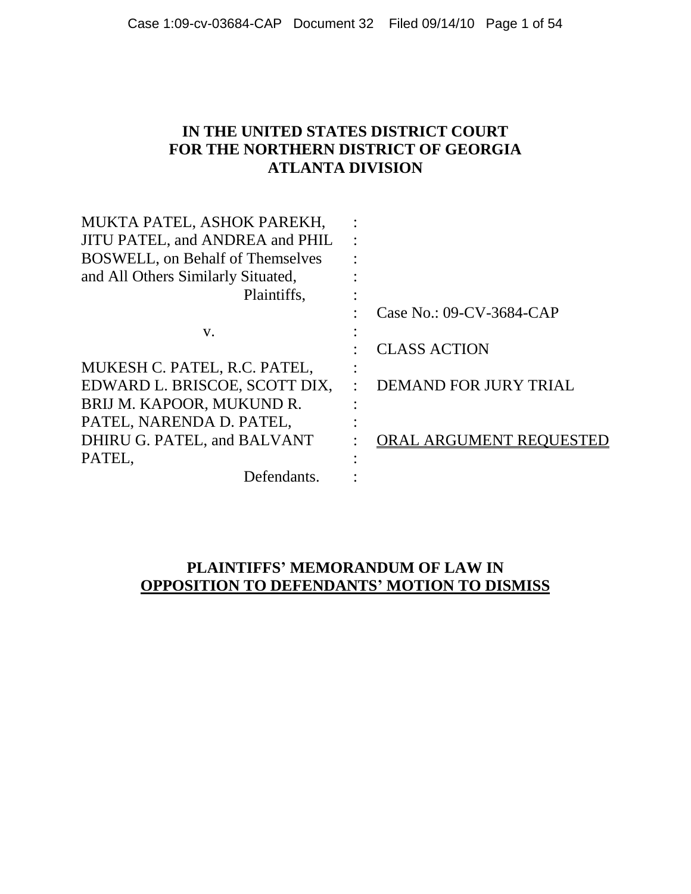### **IN THE UNITED STATES DISTRICT COURT FOR THE NORTHERN DISTRICT OF GEORGIA ATLANTA DIVISION**

| MUKTA PATEL, ASHOK PAREKH,              |                          |
|-----------------------------------------|--------------------------|
| JITU PATEL, and ANDREA and PHIL         |                          |
| <b>BOSWELL, on Behalf of Themselves</b> |                          |
| and All Others Similarly Situated,      |                          |
| Plaintiffs,                             |                          |
|                                         | Case No.: 09-CV-3684-CAP |
| V.                                      |                          |
|                                         | <b>CLASS ACTION</b>      |
| MUKESH C. PATEL, R.C. PATEL,            |                          |
| EDWARD L. BRISCOE, SCOTT DIX,           | DEMAND FOR JURY TRIAL    |
| BRIJ M. KAPOOR, MUKUND R.               |                          |
| PATEL, NARENDA D. PATEL,                |                          |
| DHIRU G. PATEL, and BALVANT             | ORAL ARGUMENT REQUESTED  |
| PATEL,                                  |                          |
| Defendants.                             |                          |

#### **PLAINTIFFS' MEMORANDUM OF LAW IN OPPOSITION TO DEFENDANTS' MOTION TO DISMISS**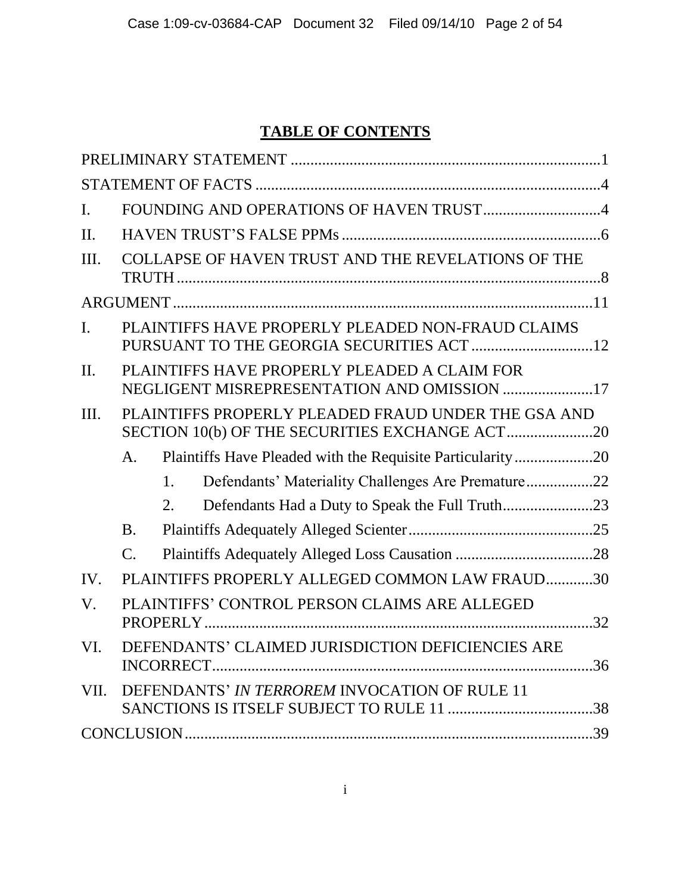# **TABLE OF CONTENTS**

| $\mathbf{I}$ . |                                                                                                       |  |
|----------------|-------------------------------------------------------------------------------------------------------|--|
| $\Pi$ .        |                                                                                                       |  |
| Ш.             | COLLAPSE OF HAVEN TRUST AND THE REVELATIONS OF THE                                                    |  |
|                |                                                                                                       |  |
| $\mathbf{I}$ . | PLAINTIFFS HAVE PROPERLY PLEADED NON-FRAUD CLAIMS                                                     |  |
| $\Pi$ .        | PLAINTIFFS HAVE PROPERLY PLEADED A CLAIM FOR<br>NEGLIGENT MISREPRESENTATION AND OMISSION 17           |  |
| Ш.             | PLAINTIFFS PROPERLY PLEADED FRAUD UNDER THE GSA AND<br>SECTION 10(b) OF THE SECURITIES EXCHANGE ACT20 |  |
|                | Plaintiffs Have Pleaded with the Requisite Particularity20<br>A.                                      |  |
|                | Defendants' Materiality Challenges Are Premature22<br>1.                                              |  |
|                | Defendants Had a Duty to Speak the Full Truth23<br>2.                                                 |  |
|                | <b>B.</b>                                                                                             |  |
|                | $\mathbf{C}$ .                                                                                        |  |
| IV.            | PLAINTIFFS PROPERLY ALLEGED COMMON LAW FRAUD30                                                        |  |
| V.             | PLAINTIFFS' CONTROL PERSON CLAIMS ARE ALLEGED                                                         |  |
| VI.            | DEFENDANTS' CLAIMED JURISDICTION DEFICIENCIES ARE                                                     |  |
|                | VII. DEFENDANTS' IN TERROREM INVOCATION OF RULE 11                                                    |  |
|                |                                                                                                       |  |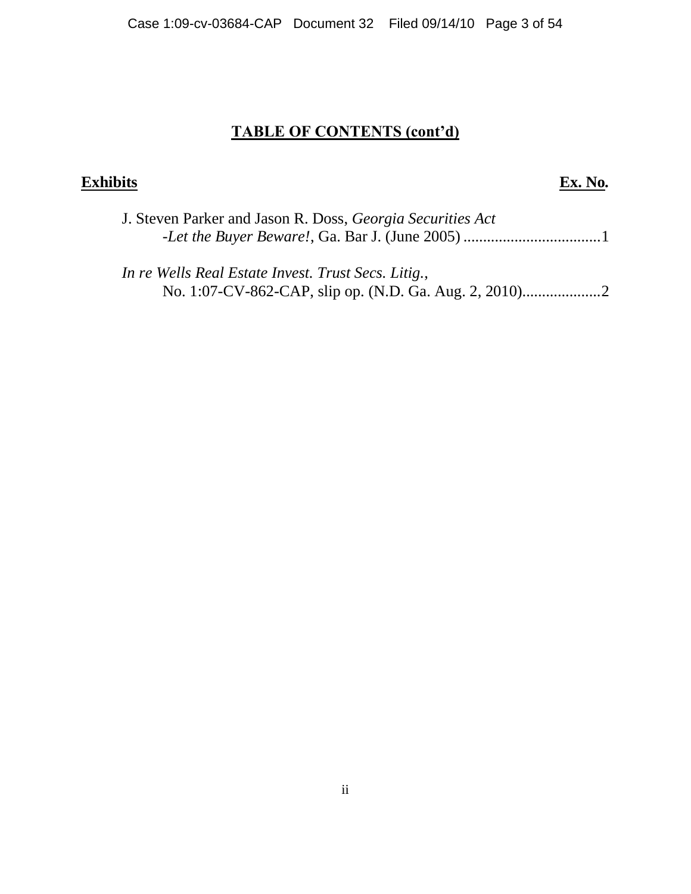# **TABLE OF CONTENTS (cont'd)**

# **Exhibits Ex. No***.*

| J. Steven Parker and Jason R. Doss, Georgia Securities Act |  |
|------------------------------------------------------------|--|
|                                                            |  |
|                                                            |  |

*In re Wells Real Estate Invest. Trust Secs. Litig.*, No. 1:07-CV-862-CAP, slip op. (N.D. Ga. Aug. 2, 2010)....................2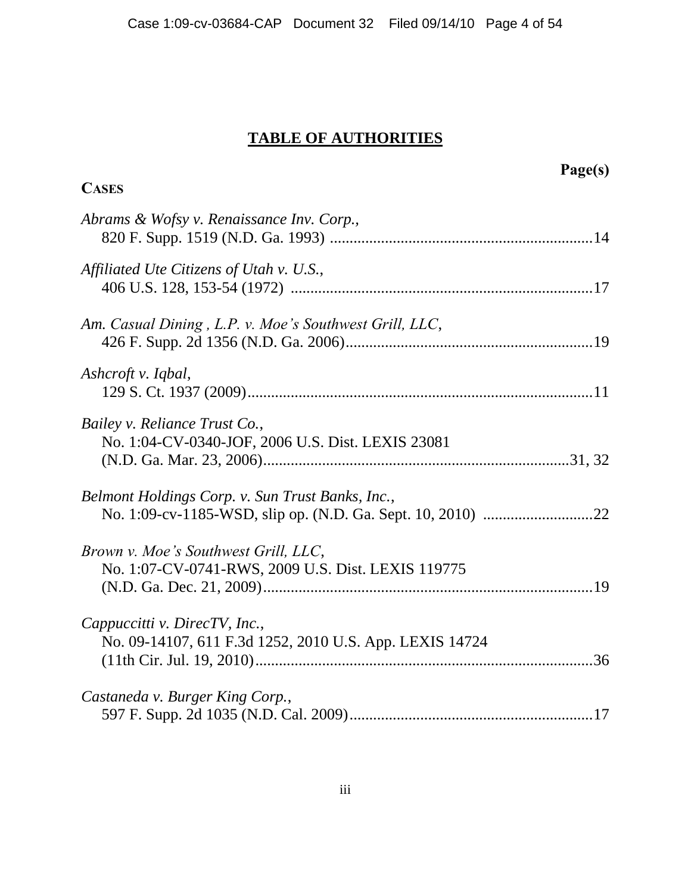#### **TABLE OF AUTHORITIES**

# **Page(s) CASES** *Abrams & Wofsy v. Renaissance Inv. Corp.,* 820 F. Supp. 1519 (N.D. Ga. 1993) ...................................................................14 *Affiliated Ute Citizens of Utah v. U.S.*, 406 U.S. 128, 153-54 (1972) .............................................................................17 *Am. Casual Dining , L.P. v. Moe's Southwest Grill, LLC*, 426 F. Supp. 2d 1356 (N.D. Ga. 2006)...............................................................19 *Ashcroft v. Iqbal*, 129 S. Ct. 1937 (2009)........................................................................................11 *Bailey v. Reliance Trust Co.*, No. 1:04-CV-0340-JOF, 2006 U.S. Dist. LEXIS 23081 (N.D. Ga. Mar. 23, 2006)..............................................................................31, 32 *Belmont Holdings Corp. v. Sun Trust Banks, Inc.*, No. 1:09-cv-1185-WSD, slip op. (N.D. Ga. Sept. 10, 2010) ............................22 *Brown v. Moe's Southwest Grill, LLC*, No. 1:07-CV-0741-RWS, 2009 U.S. Dist. LEXIS 119775 (N.D. Ga. Dec. 21, 2009)....................................................................................19 *Cappuccitti v. DirecTV, Inc.*, No. 09-14107, 611 F.3d 1252, 2010 U.S. App. LEXIS 14724 (11th Cir. Jul. 19, 2010)......................................................................................36 *Castaneda v. Burger King Corp.*, 597 F. Supp. 2d 1035 (N.D. Cal. 2009)..............................................................17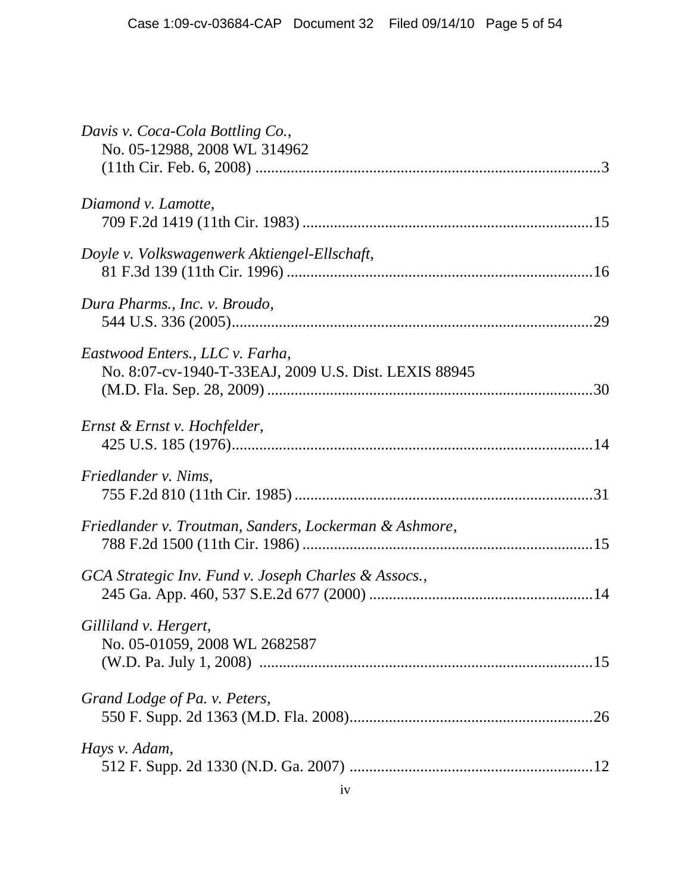| Davis v. Coca-Cola Bottling Co.,<br>No. 05-12988, 2008 WL 314962                         |
|------------------------------------------------------------------------------------------|
| Diamond v. Lamotte,                                                                      |
| Doyle v. Volkswagenwerk Aktiengel-Ellschaft,                                             |
| Dura Pharms., Inc. v. Broudo,                                                            |
| Eastwood Enters., LLC v. Farha,<br>No. 8:07-cv-1940-T-33EAJ, 2009 U.S. Dist. LEXIS 88945 |
| Ernst & Ernst v. Hochfelder,                                                             |
| Friedlander v. Nims,                                                                     |
| Friedlander v. Troutman, Sanders, Lockerman & Ashmore,                                   |
| GCA Strategic Inv. Fund v. Joseph Charles & Assocs.,                                     |
| Gilliland v. Hergert,<br>No. 05-01059, 2008 WL 2682587                                   |
| Grand Lodge of Pa. v. Peters,                                                            |
| Hays v. Adam,                                                                            |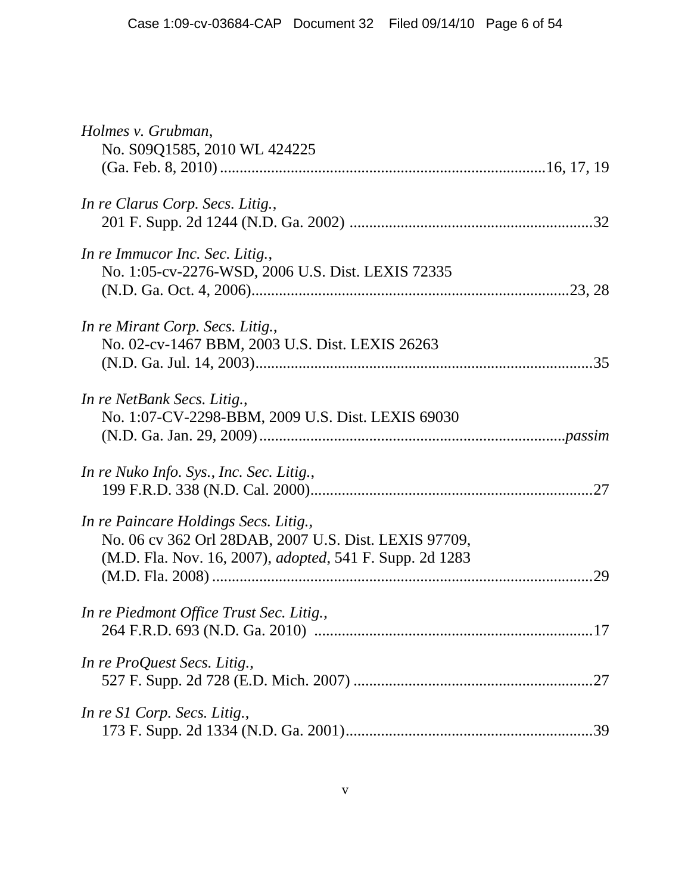| Holmes v. Grubman,<br>No. S09Q1585, 2010 WL 424225                                                                                                                 |
|--------------------------------------------------------------------------------------------------------------------------------------------------------------------|
| In re Clarus Corp. Secs. Litig.,                                                                                                                                   |
| In re Immucor Inc. Sec. Litig.,<br>No. 1:05-cv-2276-WSD, 2006 U.S. Dist. LEXIS 72335                                                                               |
| In re Mirant Corp. Secs. Litig.,<br>No. 02-cv-1467 BBM, 2003 U.S. Dist. LEXIS 26263                                                                                |
| In re NetBank Secs. Litig.,<br>No. 1:07-CV-2298-BBM, 2009 U.S. Dist. LEXIS 69030                                                                                   |
| In re Nuko Info. Sys., Inc. Sec. Litig.,                                                                                                                           |
| In re Paincare Holdings Secs. Litig.,<br>No. 06 cv 362 Orl 28DAB, 2007 U.S. Dist. LEXIS 97709,<br>(M.D. Fla. Nov. 16, 2007), <i>adopted</i> , 541 F. Supp. 2d 1283 |
| In re Piedmont Office Trust Sec. Litig.,                                                                                                                           |
| In re ProQuest Secs. Litig.,                                                                                                                                       |
| In re S1 Corp. Secs. Litig.,                                                                                                                                       |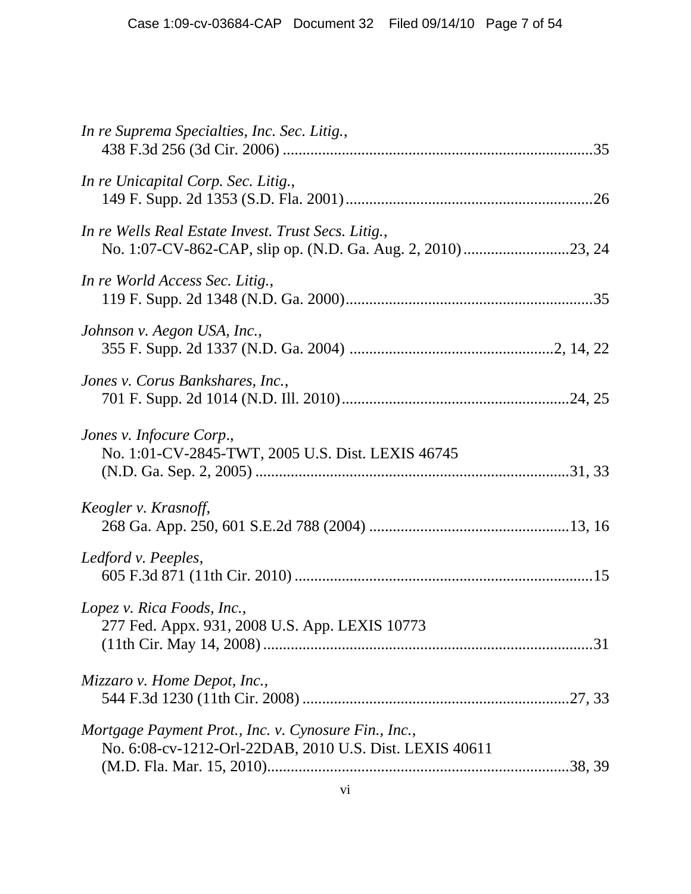| In re Suprema Specialties, Inc. Sec. Litig.,                                                                    |  |
|-----------------------------------------------------------------------------------------------------------------|--|
| In re Unicapital Corp. Sec. Litig.,                                                                             |  |
| In re Wells Real Estate Invest. Trust Secs. Litig.,                                                             |  |
| In re World Access Sec. Litig.,                                                                                 |  |
| Johnson v. Aegon USA, Inc.,                                                                                     |  |
| Jones v. Corus Bankshares, Inc.,                                                                                |  |
| Jones v. Infocure Corp.,<br>No. 1:01-CV-2845-TWT, 2005 U.S. Dist. LEXIS 46745                                   |  |
| Keogler v. Krasnoff,                                                                                            |  |
| Ledford v. Peeples,                                                                                             |  |
| Lopez v. Rica Foods, Inc.,<br>277 Fed. Appx. 931, 2008 U.S. App. LEXIS 10773                                    |  |
| Mizzaro v. Home Depot, Inc.,                                                                                    |  |
| Mortgage Payment Prot., Inc. v. Cynosure Fin., Inc.,<br>No. 6:08-cv-1212-Orl-22DAB, 2010 U.S. Dist. LEXIS 40611 |  |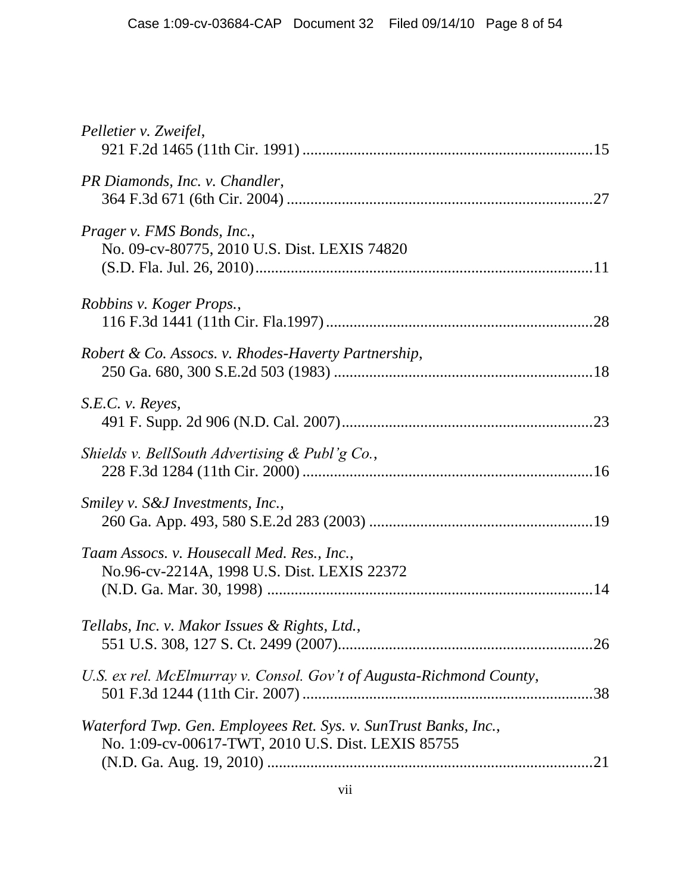| Pelletier v. Zweifel,                                                                                                  |  |
|------------------------------------------------------------------------------------------------------------------------|--|
| PR Diamonds, Inc. v. Chandler,                                                                                         |  |
| Prager v. FMS Bonds, Inc.,<br>No. 09-cv-80775, 2010 U.S. Dist. LEXIS 74820                                             |  |
| Robbins v. Koger Props.,                                                                                               |  |
| Robert & Co. Assocs. v. Rhodes-Haverty Partnership,                                                                    |  |
| S.E.C. v. Reyes,                                                                                                       |  |
| Shields v. BellSouth Advertising $\&$ Publ'g Co.,                                                                      |  |
| Smiley v. S&J Investments, Inc.,                                                                                       |  |
| Taam Assocs. v. Housecall Med. Res., Inc.,<br>No.96-cv-2214A, 1998 U.S. Dist. LEXIS 22372                              |  |
| Tellabs, Inc. v. Makor Issues & Rights, Ltd.,                                                                          |  |
| U.S. ex rel. McElmurray v. Consol. Gov't of Augusta-Richmond County,                                                   |  |
| Waterford Twp. Gen. Employees Ret. Sys. v. SunTrust Banks, Inc.,<br>No. 1:09-cv-00617-TWT, 2010 U.S. Dist. LEXIS 85755 |  |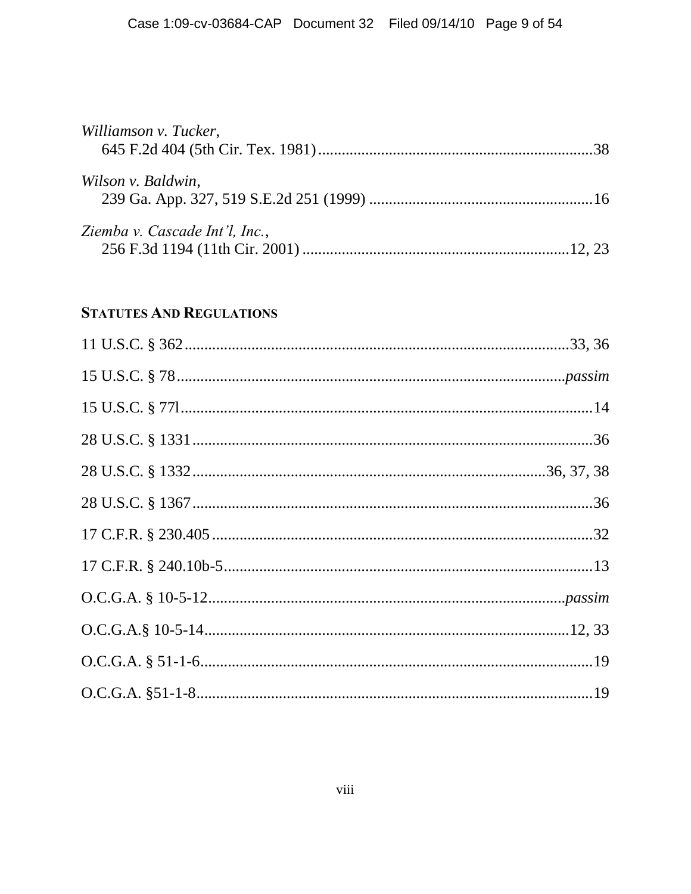| Williamson v. Tucker,          |  |
|--------------------------------|--|
|                                |  |
| Wilson v. Baldwin,             |  |
|                                |  |
| Ziemba v. Cascade Int'l, Inc., |  |
|                                |  |

#### **STATUTES AND REGULATIONS**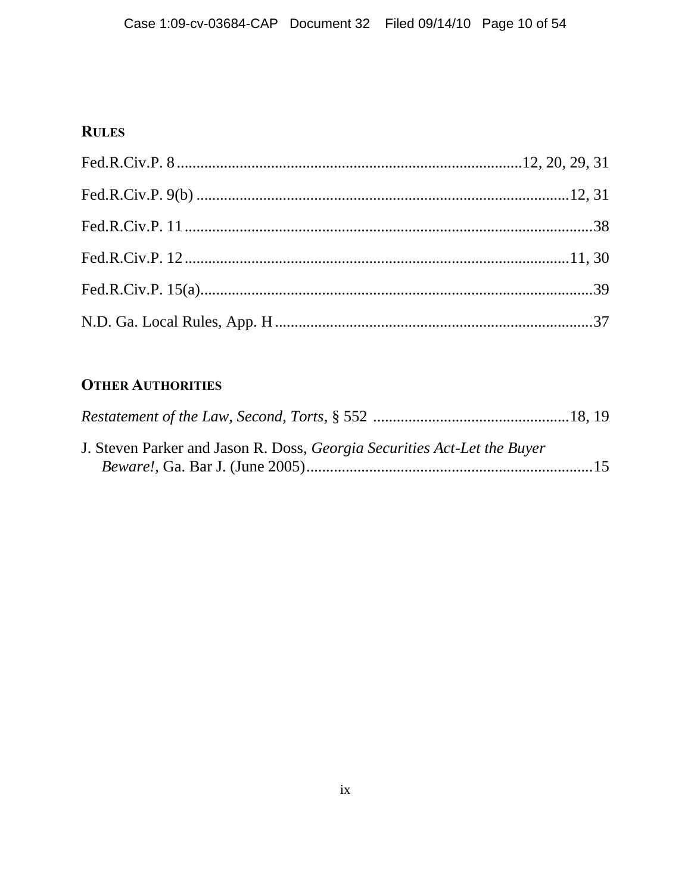### **RULES**

## **OTHER AUTHORITIES**

| J. Steven Parker and Jason R. Doss, <i>Georgia Securities Act-Let the Buyer</i> |  |
|---------------------------------------------------------------------------------|--|
|                                                                                 |  |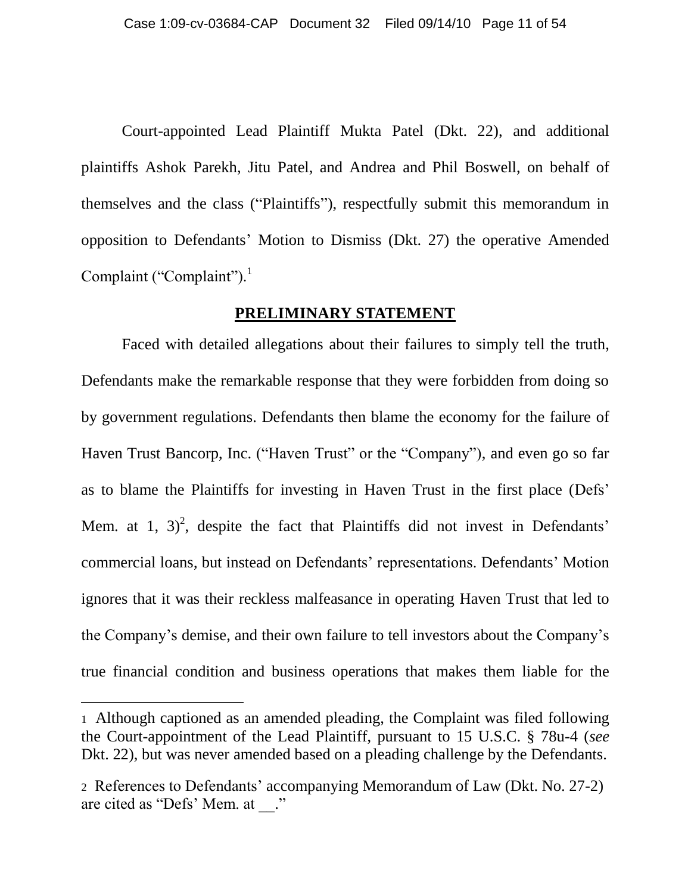Court-appointed Lead Plaintiff Mukta Patel (Dkt. 22), and additional plaintiffs Ashok Parekh, Jitu Patel, and Andrea and Phil Boswell, on behalf of themselves and the class ("Plaintiffs"), respectfully submit this memorandum in opposition to Defendants" Motion to Dismiss (Dkt. 27) the operative Amended Complaint ("Complaint").<sup>1</sup>

#### **PRELIMINARY STATEMENT**

<span id="page-10-0"></span>Faced with detailed allegations about their failures to simply tell the truth, Defendants make the remarkable response that they were forbidden from doing so by government regulations. Defendants then blame the economy for the failure of Haven Trust Bancorp, Inc. ("Haven Trust" or the "Company"), and even go so far as to blame the Plaintiffs for investing in Haven Trust in the first place (Defs" Mem. at 1, 3)<sup>2</sup>, despite the fact that Plaintiffs did not invest in Defendants' commercial loans, but instead on Defendants" representations. Defendants" Motion ignores that it was their reckless malfeasance in operating Haven Trust that led to the Company"s demise, and their own failure to tell investors about the Company"s true financial condition and business operations that makes them liable for the

<sup>1</sup> Although captioned as an amended pleading, the Complaint was filed following the Court-appointment of the Lead Plaintiff, pursuant to 15 U.S.C. § 78u-4 (*see* Dkt. 22), but was never amended based on a pleading challenge by the Defendants.

<sup>2</sup> References to Defendants" accompanying Memorandum of Law (Dkt. No. 27-2) are cited as "Defs" Mem. at \_\_."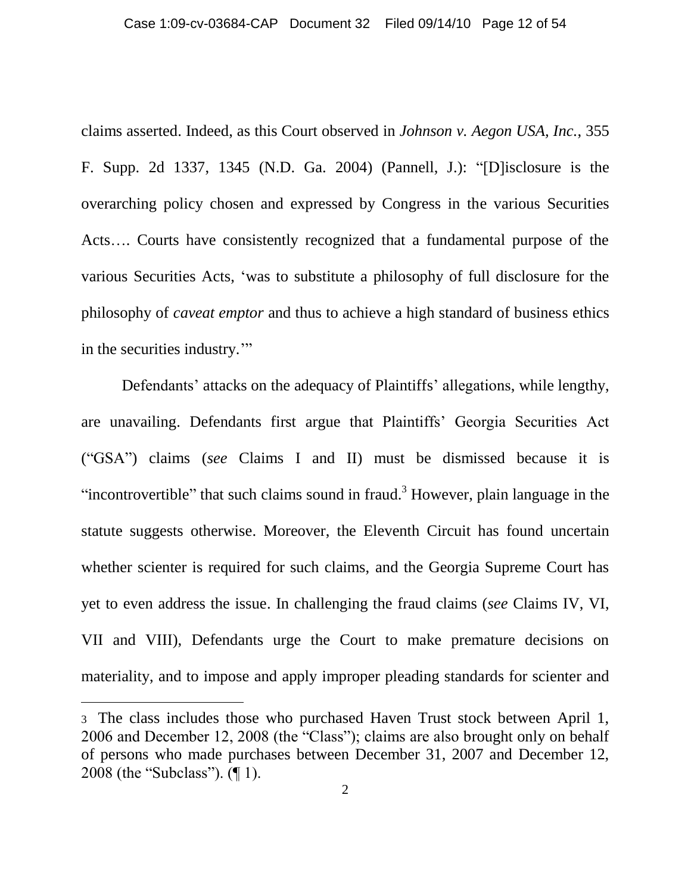claims asserted. Indeed, as this Court observed in *Johnson v. Aegon USA, Inc.*, 355 F. Supp. 2d 1337, 1345 (N.D. Ga. 2004) (Pannell, J.): "[D]isclosure is the overarching policy chosen and expressed by Congress in the various Securities Acts…. Courts have consistently recognized that a fundamental purpose of the various Securities Acts, "was to substitute a philosophy of full disclosure for the philosophy of *caveat emptor* and thus to achieve a high standard of business ethics in the securities industry.""

Defendants' attacks on the adequacy of Plaintiffs' allegations, while lengthy, are unavailing. Defendants first argue that Plaintiffs" Georgia Securities Act ("GSA") claims (*see* Claims I and II) must be dismissed because it is "incontrovertible" that such claims sound in fraud.<sup>3</sup> However, plain language in the statute suggests otherwise. Moreover, the Eleventh Circuit has found uncertain whether scienter is required for such claims, and the Georgia Supreme Court has yet to even address the issue. In challenging the fraud claims (*see* Claims IV, VI, VII and VIII), Defendants urge the Court to make premature decisions on materiality, and to impose and apply improper pleading standards for scienter and

<sup>3</sup> The class includes those who purchased Haven Trust stock between April 1, 2006 and December 12, 2008 (the "Class"); claims are also brought only on behalf of persons who made purchases between December 31, 2007 and December 12, 2008 (the "Subclass"). (¶ 1).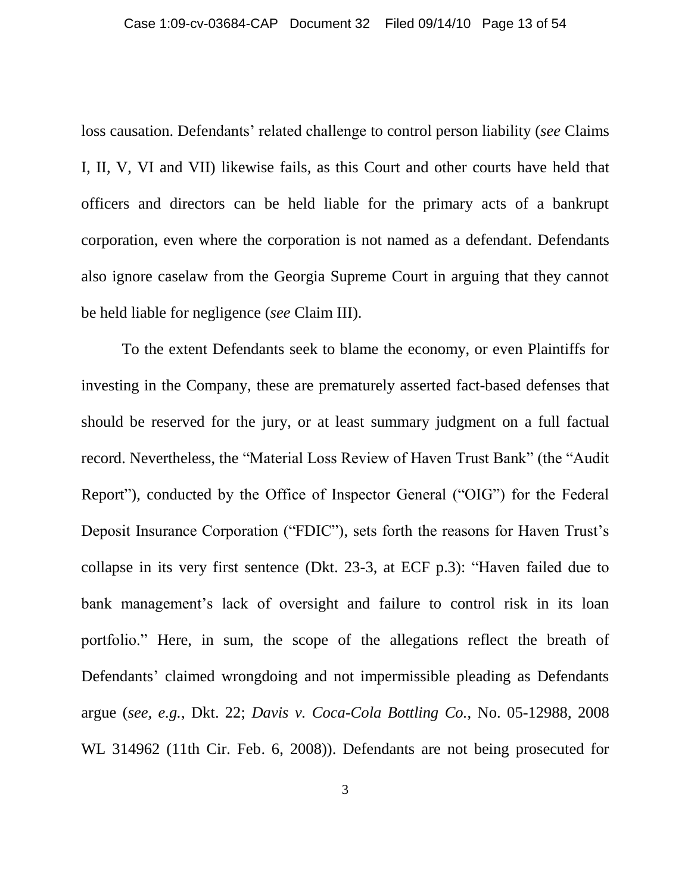loss causation. Defendants' related challenge to control person liability (*see* Claims I, II, V, VI and VII) likewise fails, as this Court and other courts have held that officers and directors can be held liable for the primary acts of a bankrupt corporation, even where the corporation is not named as a defendant. Defendants also ignore caselaw from the Georgia Supreme Court in arguing that they cannot be held liable for negligence (*see* Claim III).

To the extent Defendants seek to blame the economy, or even Plaintiffs for investing in the Company, these are prematurely asserted fact-based defenses that should be reserved for the jury, or at least summary judgment on a full factual record. Nevertheless, the "Material Loss Review of Haven Trust Bank" (the "Audit Report"), conducted by the Office of Inspector General ("OIG") for the Federal Deposit Insurance Corporation ("FDIC"), sets forth the reasons for Haven Trust's collapse in its very first sentence (Dkt. 23-3, at ECF p.3): "Haven failed due to bank management's lack of oversight and failure to control risk in its loan portfolio." Here, in sum, the scope of the allegations reflect the breath of Defendants' claimed wrongdoing and not impermissible pleading as Defendants argue (*see, e.g.*, Dkt. 22; *Davis v. Coca-Cola Bottling Co.*, No. 05-12988, 2008 WL 314962 (11th Cir. Feb. 6, 2008)). Defendants are not being prosecuted for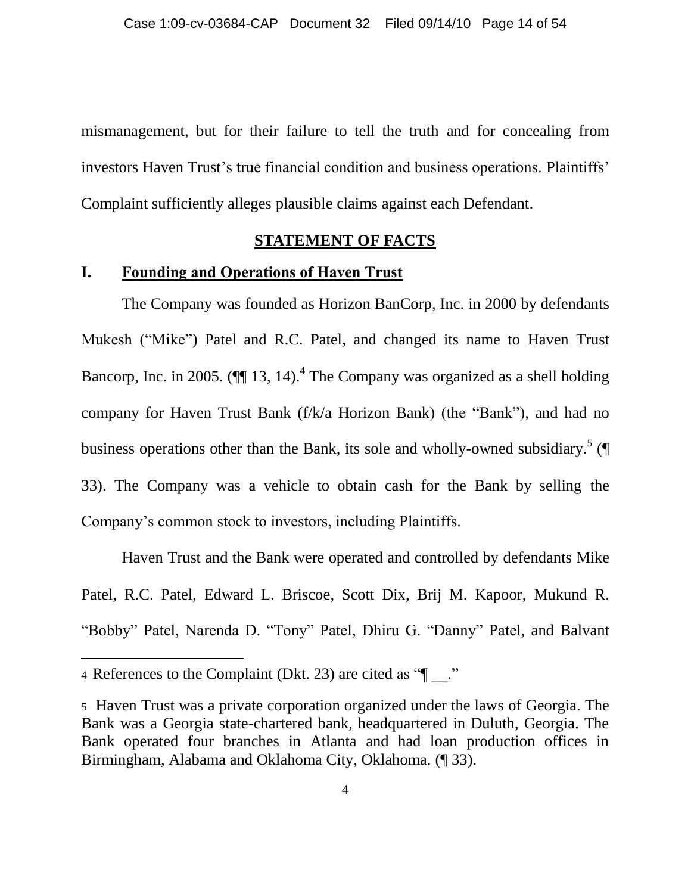mismanagement, but for their failure to tell the truth and for concealing from investors Haven Trust's true financial condition and business operations. Plaintiffs' Complaint sufficiently alleges plausible claims against each Defendant.

#### **STATEMENT OF FACTS**

#### <span id="page-13-1"></span><span id="page-13-0"></span>**I. Founding and Operations of Haven Trust**

The Company was founded as Horizon BanCorp, Inc. in 2000 by defendants Mukesh ("Mike") Patel and R.C. Patel, and changed its name to Haven Trust Bancorp, Inc. in 2005. ( $\P$  13, 14).<sup>4</sup> The Company was organized as a shell holding company for Haven Trust Bank (f/k/a Horizon Bank) (the "Bank"), and had no business operations other than the Bank, its sole and wholly-owned subsidiary.<sup>5</sup> (¶ 33). The Company was a vehicle to obtain cash for the Bank by selling the Company"s common stock to investors, including Plaintiffs.

Haven Trust and the Bank were operated and controlled by defendants Mike Patel, R.C. Patel, Edward L. Briscoe, Scott Dix, Brij M. Kapoor, Mukund R. "Bobby" Patel, Narenda D. "Tony" Patel, Dhiru G. "Danny" Patel, and Balvant

<sup>4</sup> References to the Complaint (Dkt. 23) are cited as " $\blacksquare$ ."

<sup>5</sup> Haven Trust was a private corporation organized under the laws of Georgia. The Bank was a Georgia state-chartered bank, headquartered in Duluth, Georgia. The Bank operated four branches in Atlanta and had loan production offices in Birmingham, Alabama and Oklahoma City, Oklahoma. (¶ 33).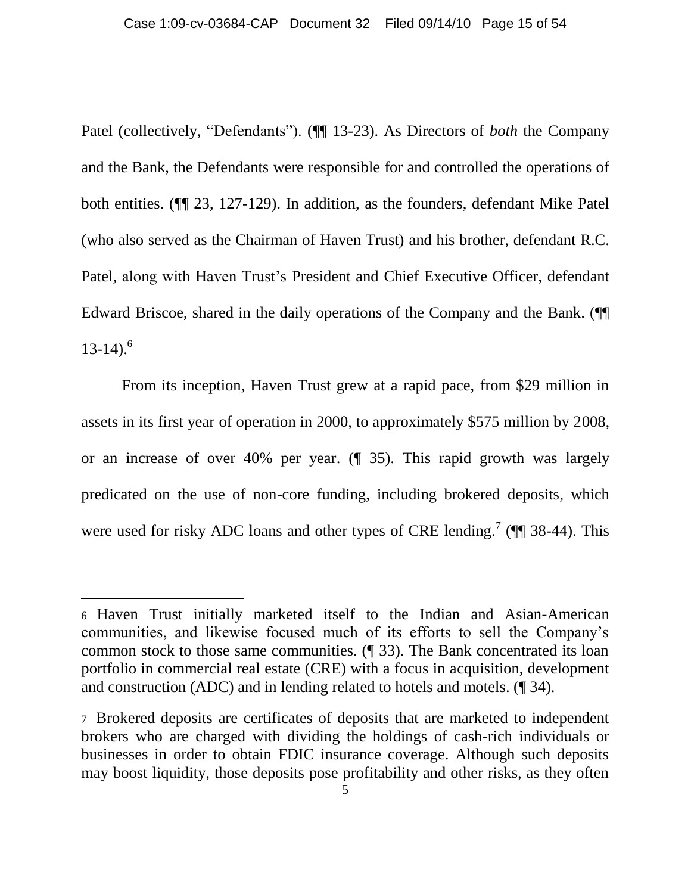Patel (collectively, "Defendants"). (¶¶ 13-23). As Directors of *both* the Company and the Bank, the Defendants were responsible for and controlled the operations of both entities. (¶¶ 23, 127-129). In addition, as the founders, defendant Mike Patel (who also served as the Chairman of Haven Trust) and his brother, defendant R.C. Patel, along with Haven Trust"s President and Chief Executive Officer, defendant Edward Briscoe, shared in the daily operations of the Company and the Bank. (¶¶  $13-14$ ).<sup>6</sup>

From its inception, Haven Trust grew at a rapid pace, from \$29 million in assets in its first year of operation in 2000, to approximately \$575 million by 2008, or an increase of over 40% per year. (¶ 35). This rapid growth was largely predicated on the use of non-core funding, including brokered deposits, which were used for risky ADC loans and other types of CRE lending.<sup>7</sup> ( $\P$  38-44). This

<sup>6</sup> Haven Trust initially marketed itself to the Indian and Asian-American communities, and likewise focused much of its efforts to sell the Company"s common stock to those same communities. (¶ 33). The Bank concentrated its loan portfolio in commercial real estate (CRE) with a focus in acquisition, development and construction (ADC) and in lending related to hotels and motels. (¶ 34).

<sup>7</sup> Brokered deposits are certificates of deposits that are marketed to independent brokers who are charged with dividing the holdings of cash-rich individuals or businesses in order to obtain FDIC insurance coverage. Although such deposits may boost liquidity, those deposits pose profitability and other risks, as they often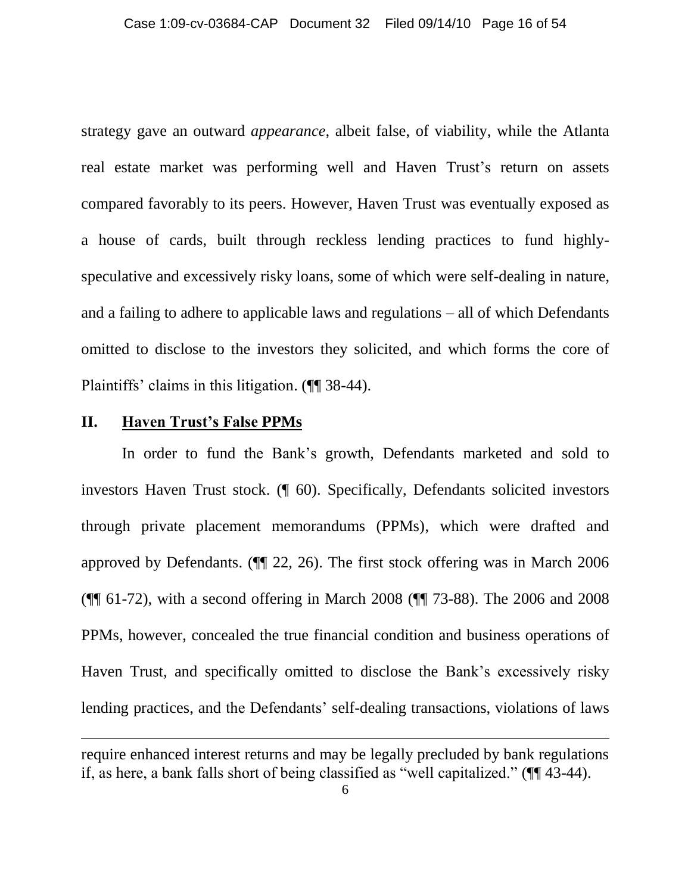strategy gave an outward *appearance*, albeit false, of viability, while the Atlanta real estate market was performing well and Haven Trust's return on assets compared favorably to its peers. However, Haven Trust was eventually exposed as a house of cards, built through reckless lending practices to fund highlyspeculative and excessively risky loans, some of which were self-dealing in nature, and a failing to adhere to applicable laws and regulations – all of which Defendants omitted to disclose to the investors they solicited, and which forms the core of Plaintiffs" claims in this litigation. (¶¶ 38-44).

#### <span id="page-15-0"></span>**II. Haven Trust's False PPMs**

 $\overline{a}$ 

In order to fund the Bank"s growth, Defendants marketed and sold to investors Haven Trust stock. (¶ 60). Specifically, Defendants solicited investors through private placement memorandums (PPMs), which were drafted and approved by Defendants. (¶¶ 22, 26). The first stock offering was in March 2006 (¶¶ 61-72), with a second offering in March 2008 (¶¶ 73-88). The 2006 and 2008 PPMs, however, concealed the true financial condition and business operations of Haven Trust, and specifically omitted to disclose the Bank"s excessively risky lending practices, and the Defendants' self-dealing transactions, violations of laws

require enhanced interest returns and may be legally precluded by bank regulations if, as here, a bank falls short of being classified as "well capitalized." (¶¶ 43-44).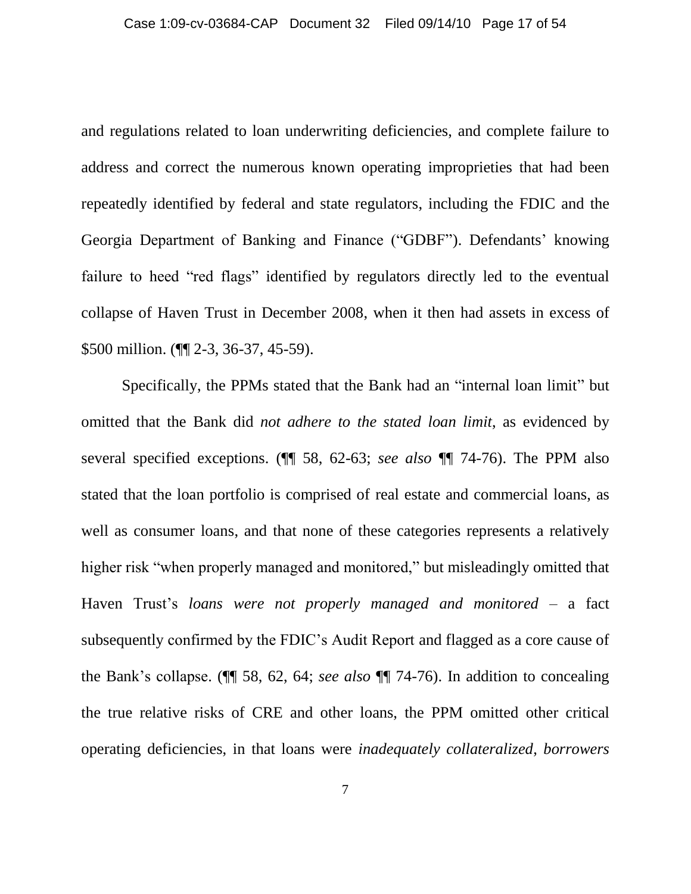and regulations related to loan underwriting deficiencies, and complete failure to address and correct the numerous known operating improprieties that had been repeatedly identified by federal and state regulators, including the FDIC and the Georgia Department of Banking and Finance ("GDBF"). Defendants' knowing failure to heed "red flags" identified by regulators directly led to the eventual collapse of Haven Trust in December 2008, when it then had assets in excess of \$500 million. (¶¶ 2-3, 36-37, 45-59).

Specifically, the PPMs stated that the Bank had an "internal loan limit" but omitted that the Bank did *not adhere to the stated loan limit*, as evidenced by several specified exceptions. (¶¶ 58, 62-63; *see also* ¶¶ 74-76). The PPM also stated that the loan portfolio is comprised of real estate and commercial loans, as well as consumer loans, and that none of these categories represents a relatively higher risk "when properly managed and monitored," but misleadingly omitted that Haven Trust"s *loans were not properly managed and monitored* – a fact subsequently confirmed by the FDIC"s Audit Report and flagged as a core cause of the Bank"s collapse. (¶¶ 58, 62, 64; *see also* ¶¶ 74-76). In addition to concealing the true relative risks of CRE and other loans, the PPM omitted other critical operating deficiencies, in that loans were *inadequately collateralized*, *borrowers*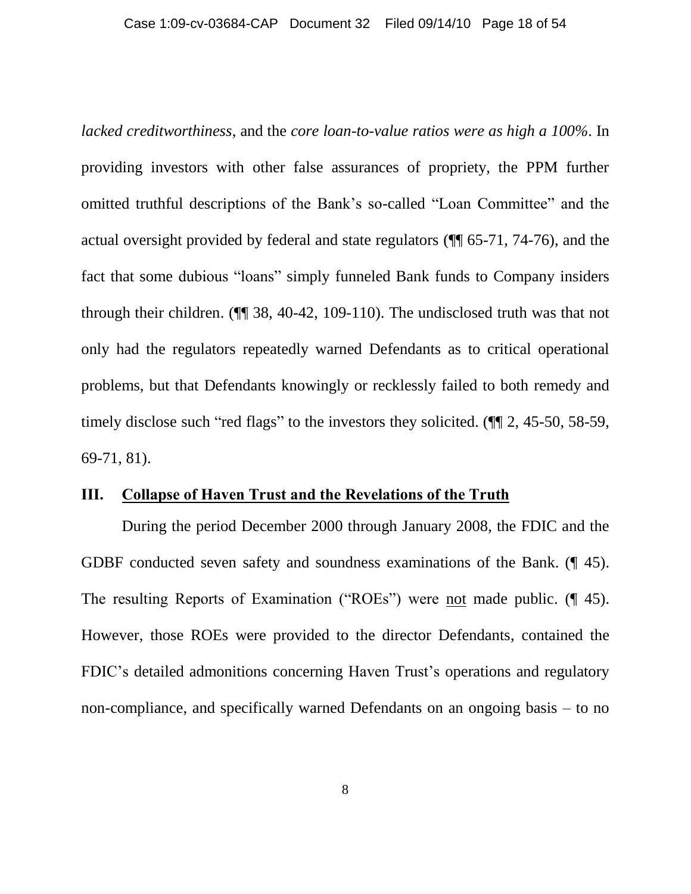*lacked creditworthiness*, and the *core loan-to-value ratios were as high a 100%*. In providing investors with other false assurances of propriety, the PPM further omitted truthful descriptions of the Bank"s so-called "Loan Committee" and the actual oversight provided by federal and state regulators (¶¶ 65-71, 74-76), and the fact that some dubious "loans" simply funneled Bank funds to Company insiders through their children. (¶¶ 38, 40-42, 109-110). The undisclosed truth was that not only had the regulators repeatedly warned Defendants as to critical operational problems, but that Defendants knowingly or recklessly failed to both remedy and timely disclose such "red flags" to the investors they solicited. (¶¶ 2, 45-50, 58-59, 69-71, 81).

#### <span id="page-17-0"></span>**III. Collapse of Haven Trust and the Revelations of the Truth**

During the period December 2000 through January 2008, the FDIC and the GDBF conducted seven safety and soundness examinations of the Bank. (¶ 45). The resulting Reports of Examination ("ROEs") were not made public. (¶ 45). However, those ROEs were provided to the director Defendants, contained the FDIC's detailed admonitions concerning Haven Trust's operations and regulatory non-compliance, and specifically warned Defendants on an ongoing basis – to no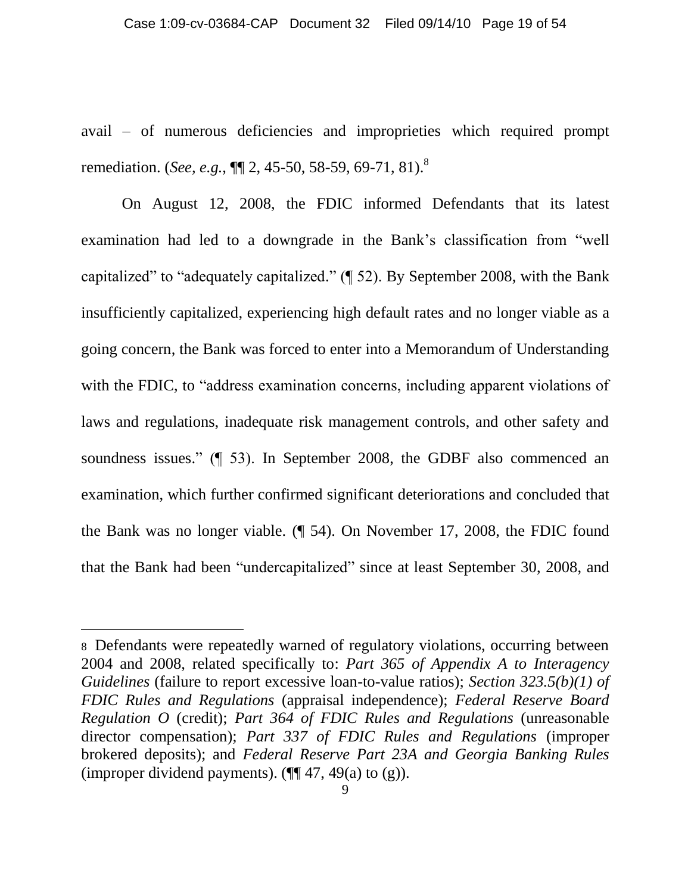avail – of numerous deficiencies and improprieties which required prompt remediation. (*See, e.g.*, **¶** 2, 45-50, 58-59, 69-71, 81).<sup>8</sup>

On August 12, 2008, the FDIC informed Defendants that its latest examination had led to a downgrade in the Bank"s classification from "well capitalized" to "adequately capitalized." (¶ 52). By September 2008, with the Bank insufficiently capitalized, experiencing high default rates and no longer viable as a going concern, the Bank was forced to enter into a Memorandum of Understanding with the FDIC, to "address examination concerns, including apparent violations of laws and regulations, inadequate risk management controls, and other safety and soundness issues." (¶ 53). In September 2008, the GDBF also commenced an examination, which further confirmed significant deteriorations and concluded that the Bank was no longer viable. (¶ 54). On November 17, 2008, the FDIC found that the Bank had been "undercapitalized" since at least September 30, 2008, and

<sup>8</sup> Defendants were repeatedly warned of regulatory violations, occurring between 2004 and 2008, related specifically to: *Part 365 of Appendix A to Interagency Guidelines* (failure to report excessive loan-to-value ratios); *Section 323.5(b)(1) of FDIC Rules and Regulations* (appraisal independence); *Federal Reserve Board Regulation O* (credit); *Part 364 of FDIC Rules and Regulations* (unreasonable director compensation); *Part 337 of FDIC Rules and Regulations* (improper brokered deposits); and *Federal Reserve Part 23A and Georgia Banking Rules* (improper dividend payments).  $(\P\P 47, 49(a)$  to (g)).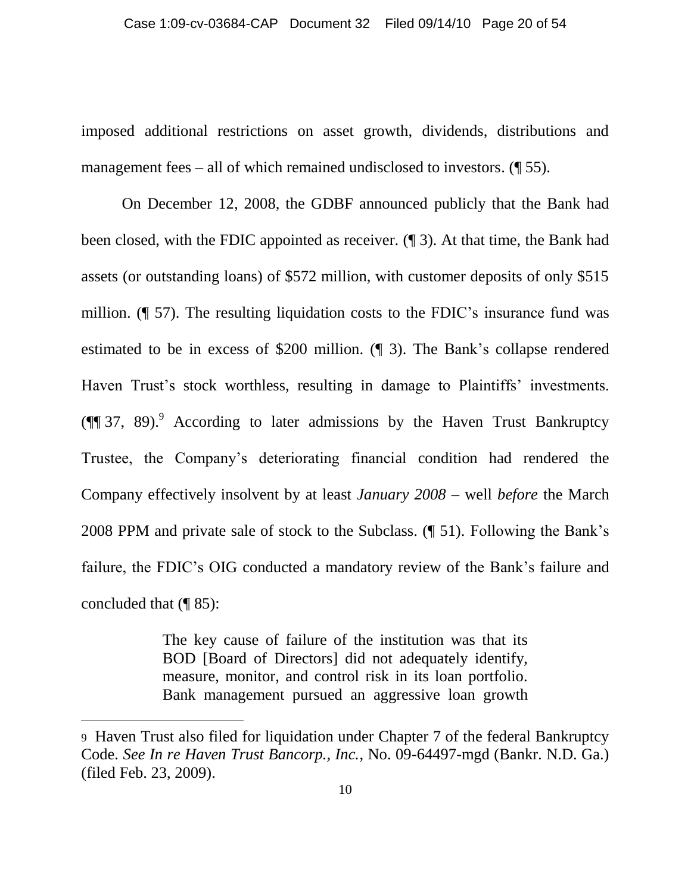imposed additional restrictions on asset growth, dividends, distributions and management fees – all of which remained undisclosed to investors. (¶ 55).

On December 12, 2008, the GDBF announced publicly that the Bank had been closed, with the FDIC appointed as receiver. (¶ 3). At that time, the Bank had assets (or outstanding loans) of \$572 million, with customer deposits of only \$515 million. (¶ 57). The resulting liquidation costs to the FDIC"s insurance fund was estimated to be in excess of \$200 million. (¶ 3). The Bank"s collapse rendered Haven Trust's stock worthless, resulting in damage to Plaintiffs' investments.  $(\P\P 37, 89)$ . According to later admissions by the Haven Trust Bankruptcy Trustee, the Company"s deteriorating financial condition had rendered the Company effectively insolvent by at least *January 2008* – well *before* the March 2008 PPM and private sale of stock to the Subclass. (¶ 51). Following the Bank"s failure, the FDIC"s OIG conducted a mandatory review of the Bank"s failure and concluded that (¶ 85):

> The key cause of failure of the institution was that its BOD [Board of Directors] did not adequately identify, measure, monitor, and control risk in its loan portfolio. Bank management pursued an aggressive loan growth

<sup>9</sup> Haven Trust also filed for liquidation under Chapter 7 of the federal Bankruptcy Code. *See In re Haven Trust Bancorp., Inc.*, No. 09-64497-mgd (Bankr. N.D. Ga.) (filed Feb. 23, 2009).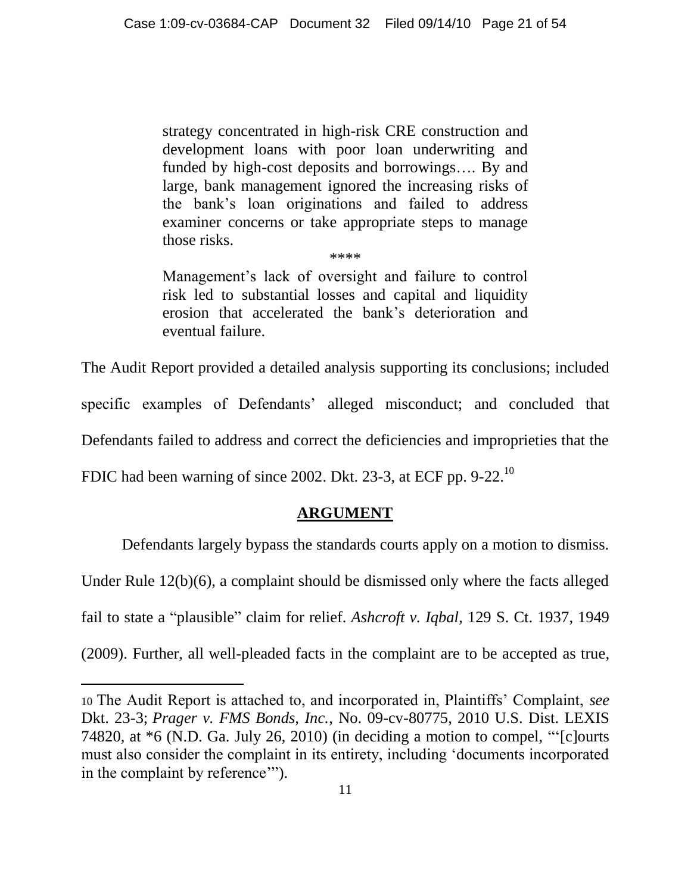strategy concentrated in high-risk CRE construction and development loans with poor loan underwriting and funded by high-cost deposits and borrowings…. By and large, bank management ignored the increasing risks of the bank"s loan originations and failed to address examiner concerns or take appropriate steps to manage those risks.

Management's lack of oversight and failure to control risk led to substantial losses and capital and liquidity erosion that accelerated the bank"s deterioration and eventual failure.

\*\*\*\*

The Audit Report provided a detailed analysis supporting its conclusions; included specific examples of Defendants' alleged misconduct; and concluded that Defendants failed to address and correct the deficiencies and improprieties that the FDIC had been warning of since 2002. Dkt. 23-3, at ECF pp. 9-22.<sup>10</sup>

 $\overline{a}$ 

# **ARGUMENT**

<span id="page-20-0"></span>Defendants largely bypass the standards courts apply on a motion to dismiss.

Under Rule 12(b)(6), a complaint should be dismissed only where the facts alleged

fail to state a "plausible" claim for relief. *Ashcroft v. Iqbal*, 129 S. Ct. 1937, 1949

(2009). Further, all well-pleaded facts in the complaint are to be accepted as true,

<sup>10</sup> The Audit Report is attached to, and incorporated in, Plaintiffs" Complaint, *see* Dkt. 23-3; *Prager v. FMS Bonds, Inc.*, No. 09-cv-80775, 2010 U.S. Dist. LEXIS 74820, at \*6 (N.D. Ga. July 26, 2010) (in deciding a motion to compel, ""[c]ourts must also consider the complaint in its entirety, including "documents incorporated in the complaint by reference"").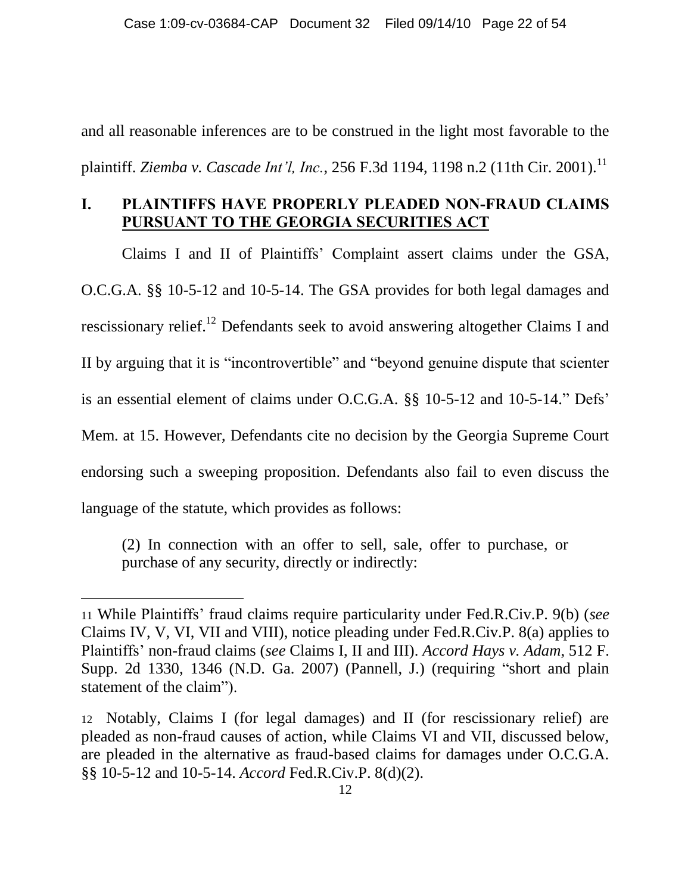and all reasonable inferences are to be construed in the light most favorable to the plaintiff. *Ziemba v. Cascade Int'l, Inc.*, 256 F.3d 1194, 1198 n.2 (11th Cir. 2001).<sup>11</sup>

#### <span id="page-21-0"></span>**I. PLAINTIFFS HAVE PROPERLY PLEADED NON-FRAUD CLAIMS PURSUANT TO THE GEORGIA SECURITIES ACT**

Claims I and II of Plaintiffs" Complaint assert claims under the GSA, O.C.G.A. §§ 10-5-12 and 10-5-14. The GSA provides for both legal damages and rescissionary relief.<sup>12</sup> Defendants seek to avoid answering altogether Claims I and II by arguing that it is "incontrovertible" and "beyond genuine dispute that scienter is an essential element of claims under O.C.G.A. §§ 10-5-12 and 10-5-14." Defs" Mem. at 15. However, Defendants cite no decision by the Georgia Supreme Court endorsing such a sweeping proposition. Defendants also fail to even discuss the language of the statute, which provides as follows:

(2) In connection with an offer to sell, sale, offer to purchase, or purchase of any security, directly or indirectly:

<sup>11</sup> While Plaintiffs" fraud claims require particularity under Fed.R.Civ.P. 9(b) (*see* Claims IV, V, VI, VII and VIII), notice pleading under Fed.R.Civ.P. 8(a) applies to Plaintiffs" non-fraud claims (*see* Claims I, II and III). *Accord Hays v. Adam*, 512 F. Supp. 2d 1330, 1346 (N.D. Ga. 2007) (Pannell, J.) (requiring "short and plain statement of the claim").

<sup>12</sup> Notably, Claims I (for legal damages) and II (for rescissionary relief) are pleaded as non-fraud causes of action, while Claims VI and VII, discussed below, are pleaded in the alternative as fraud-based claims for damages under O.C.G.A. §§ 10-5-12 and 10-5-14. *Accord* Fed.R.Civ.P. 8(d)(2).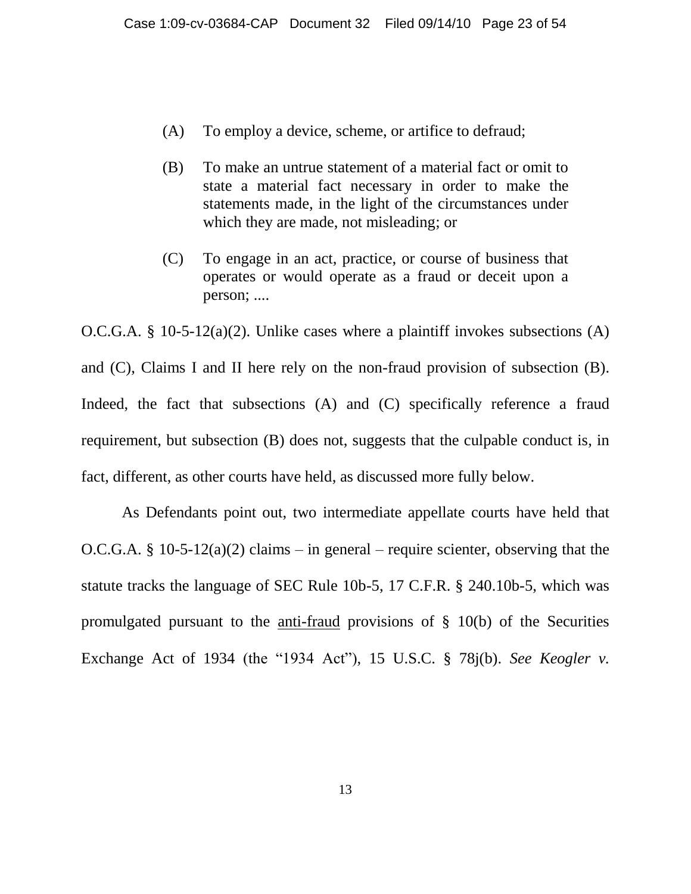- (A) To employ a device, scheme, or artifice to defraud;
- (B) To make an untrue statement of a material fact or omit to state a material fact necessary in order to make the statements made, in the light of the circumstances under which they are made, not misleading; or
- (C) To engage in an act, practice, or course of business that operates or would operate as a fraud or deceit upon a person; ....

O.C.G.A. § 10-5-12(a)(2). Unlike cases where a plaintiff invokes subsections (A) and (C), Claims I and II here rely on the non-fraud provision of subsection (B). Indeed, the fact that subsections (A) and (C) specifically reference a fraud requirement, but subsection (B) does not, suggests that the culpable conduct is, in fact, different, as other courts have held, as discussed more fully below.

As Defendants point out, two intermediate appellate courts have held that O.C.G.A. § 10-5-12(a)(2) claims – in general – require scienter, observing that the statute tracks the language of SEC Rule 10b-5, 17 C.F.R. § 240.10b-5, which was promulgated pursuant to the anti-fraud provisions of § 10(b) of the Securities Exchange Act of 1934 (the "1934 Act"), 15 U.S.C. § 78j(b). *See Keogler v.*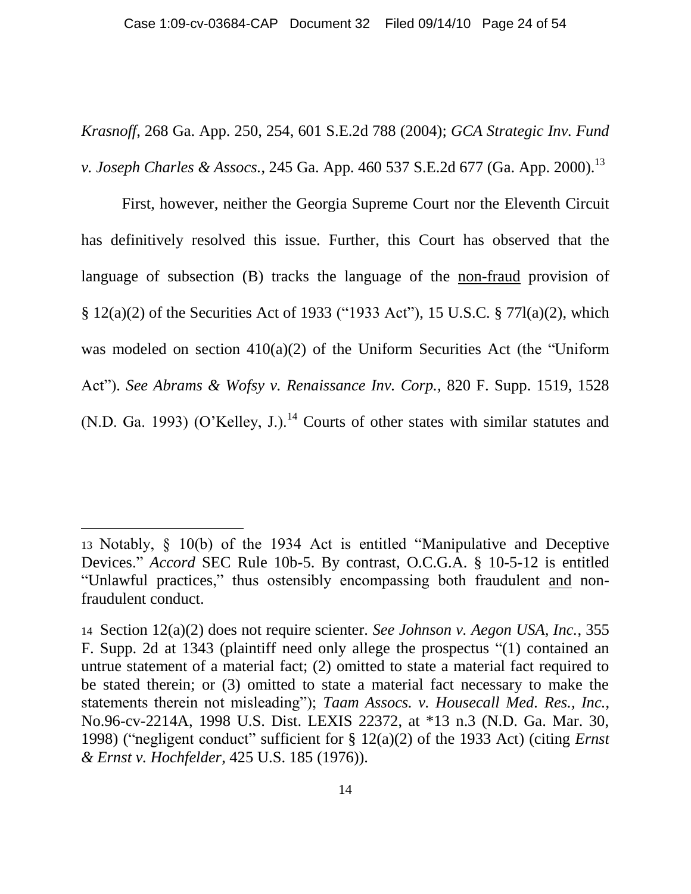*Krasnoff*, 268 Ga. App. 250, 254, 601 S.E.2d 788 (2004); *GCA Strategic Inv. Fund v. Joseph Charles & Assocs.*, 245 Ga. App. 460 537 S.E.2d 677 (Ga. App. 2000).<sup>13</sup>

First, however, neither the Georgia Supreme Court nor the Eleventh Circuit has definitively resolved this issue. Further, this Court has observed that the language of subsection (B) tracks the language of the <u>non-fraud</u> provision of § 12(a)(2) of the Securities Act of 1933 ("1933 Act"), 15 U.S.C. § 77l(a)(2), which was modeled on section 410(a)(2) of the Uniform Securities Act (the "Uniform Act"). *See Abrams & Wofsy v. Renaissance Inv. Corp.,* 820 F. Supp. 1519, 1528 (N.D. Ga. 1993) (O'Kelley, J.).<sup>14</sup> Courts of other states with similar statutes and

<sup>13</sup> Notably, § 10(b) of the 1934 Act is entitled "Manipulative and Deceptive Devices." *Accord* SEC Rule 10b-5. By contrast, O.C.G.A. § 10-5-12 is entitled "Unlawful practices," thus ostensibly encompassing both fraudulent and nonfraudulent conduct.

<sup>14</sup> Section 12(a)(2) does not require scienter. *See Johnson v. Aegon USA, Inc.*, 355 F. Supp. 2d at 1343 (plaintiff need only allege the prospectus "(1) contained an untrue statement of a material fact; (2) omitted to state a material fact required to be stated therein; or (3) omitted to state a material fact necessary to make the statements therein not misleading"); *Taam Assocs. v. Housecall Med. Res., Inc.*, No.96-cv-2214A, 1998 U.S. Dist. LEXIS 22372, at \*13 n.3 (N.D. Ga. Mar. 30, 1998) ("negligent conduct" sufficient for § 12(a)(2) of the 1933 Act) (citing *Ernst & Ernst v. Hochfelder*, 425 U.S. 185 (1976)).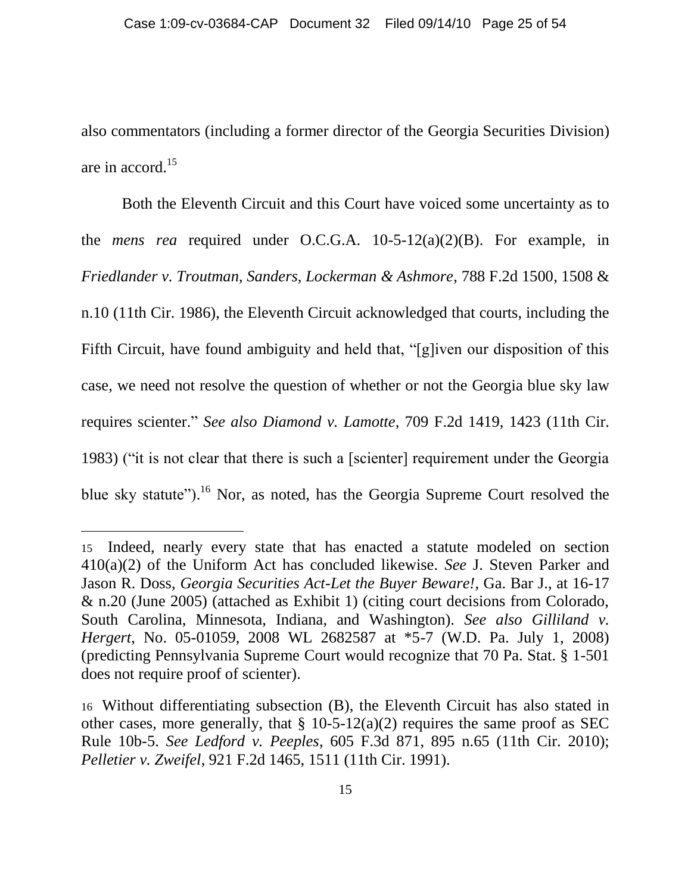also commentators (including a former director of the Georgia Securities Division) are in accord. 15

Both the Eleventh Circuit and this Court have voiced some uncertainty as to the *mens rea* required under O.C.G.A. 10-5-12(a)(2)(B). For example, in *Friedlander v. Troutman, Sanders, Lockerman & Ashmore*, 788 F.2d 1500, 1508 & n.10 (11th Cir. 1986), the Eleventh Circuit acknowledged that courts, including the Fifth Circuit, have found ambiguity and held that, "[g]iven our disposition of this case, we need not resolve the question of whether or not the Georgia blue sky law requires scienter." *See also Diamond v. Lamotte*, 709 F.2d 1419, 1423 (11th Cir. 1983) ("it is not clear that there is such a [scienter] requirement under the Georgia blue sky statute").<sup>16</sup> Nor, as noted, has the Georgia Supreme Court resolved the

<sup>15</sup> Indeed, nearly every state that has enacted a statute modeled on section 410(a)(2) of the Uniform Act has concluded likewise. *See* J. Steven Parker and Jason R. Doss, *Georgia Securities Act-Let the Buyer Beware!*, Ga. Bar J., at 16-17 & n.20 (June 2005) (attached as Exhibit 1) (citing court decisions from Colorado, South Carolina, Minnesota, Indiana, and Washington). *See also Gilliland v. Hergert*, No. 05-01059, 2008 WL 2682587 at \*5-7 (W.D. Pa. July 1, 2008) (predicting Pennsylvania Supreme Court would recognize that 70 Pa. Stat. § 1-501 does not require proof of scienter).

<sup>16</sup> Without differentiating subsection (B), the Eleventh Circuit has also stated in other cases, more generally, that  $\S$  10-5-12(a)(2) requires the same proof as SEC Rule 10b-5. *See Ledford v. Peeples*, 605 F.3d 871, 895 n.65 (11th Cir. 2010); *Pelletier v. Zweifel*, 921 F.2d 1465, 1511 (11th Cir. 1991).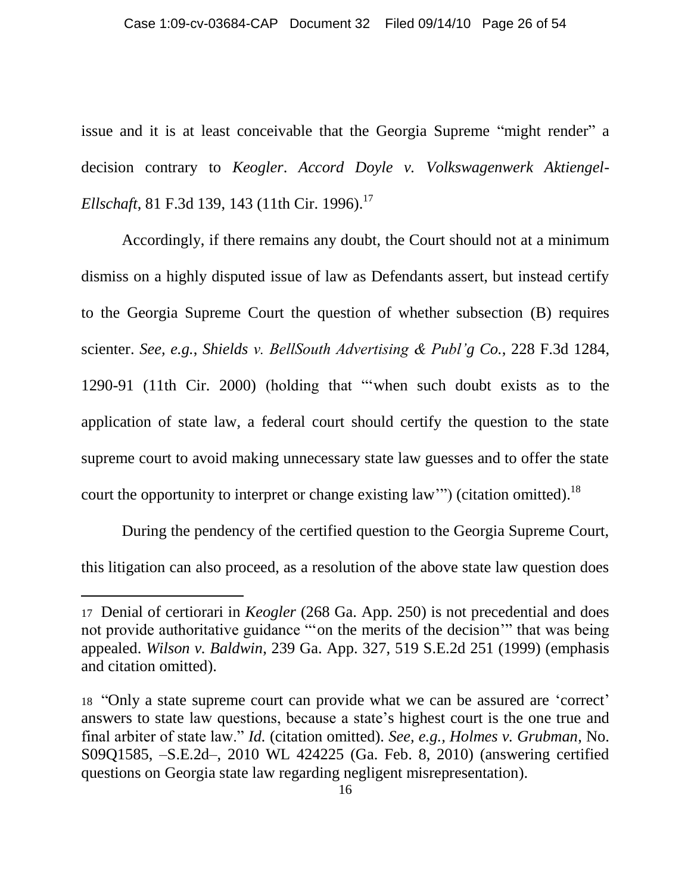issue and it is at least conceivable that the Georgia Supreme "might render" a decision contrary to *Keogler*. *Accord Doyle v. Volkswagenwerk Aktiengel-Ellschaft*, 81 F.3d 139, 143 (11th Cir. 1996).<sup>17</sup>

Accordingly, if there remains any doubt, the Court should not at a minimum dismiss on a highly disputed issue of law as Defendants assert, but instead certify to the Georgia Supreme Court the question of whether subsection (B) requires scienter. *See, e.g.*, *Shields v. BellSouth Advertising & Publ'g Co.*, 228 F.3d 1284, 1290-91 (11th Cir. 2000) (holding that ""when such doubt exists as to the application of state law, a federal court should certify the question to the state supreme court to avoid making unnecessary state law guesses and to offer the state court the opportunity to interpret or change existing law"") (citation omitted).<sup>18</sup>

During the pendency of the certified question to the Georgia Supreme Court, this litigation can also proceed, as a resolution of the above state law question does

<sup>17</sup> Denial of certiorari in *Keogler* (268 Ga. App. 250) is not precedential and does not provide authoritative guidance ""on the merits of the decision"" that was being appealed. *Wilson v. Baldwin*, 239 Ga. App. 327, 519 S.E.2d 251 (1999) (emphasis and citation omitted).

<sup>18</sup> "Only a state supreme court can provide what we can be assured are "correct" answers to state law questions, because a state"s highest court is the one true and final arbiter of state law." *Id.* (citation omitted). *See, e.g., Holmes v. Grubman*, No. S09Q1585, –S.E.2d–, 2010 WL 424225 (Ga. Feb. 8, 2010) (answering certified questions on Georgia state law regarding negligent misrepresentation).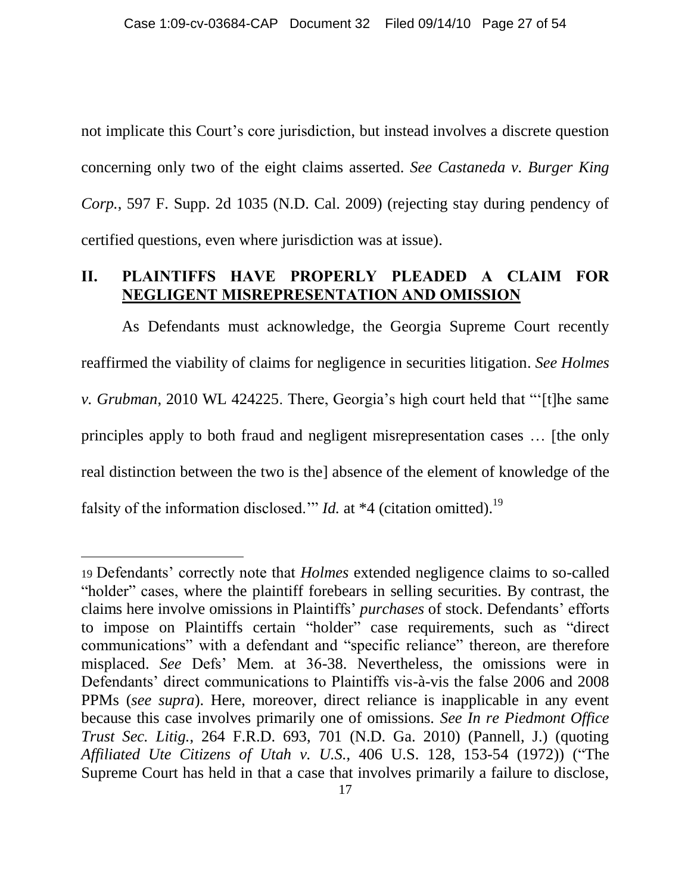not implicate this Court's core jurisdiction, but instead involves a discrete question concerning only two of the eight claims asserted. *See Castaneda v. Burger King Corp.*, 597 F. Supp. 2d 1035 (N.D. Cal. 2009) (rejecting stay during pendency of certified questions, even where jurisdiction was at issue).

#### <span id="page-26-0"></span>**II. PLAINTIFFS HAVE PROPERLY PLEADED A CLAIM FOR NEGLIGENT MISREPRESENTATION AND OMISSION**

As Defendants must acknowledge, the Georgia Supreme Court recently reaffirmed the viability of claims for negligence in securities litigation. *See Holmes v. Grubman*, 2010 WL 424225. There, Georgia's high court held that "[t]he same principles apply to both fraud and negligent misrepresentation cases … [the only real distinction between the two is the] absence of the element of knowledge of the falsity of the information disclosed." *Id.* at \*4 (citation omitted).<sup>19</sup>

<sup>19</sup> Defendants" correctly note that *Holmes* extended negligence claims to so-called "holder" cases, where the plaintiff forebears in selling securities. By contrast, the claims here involve omissions in Plaintiffs" *purchases* of stock. Defendants" efforts to impose on Plaintiffs certain "holder" case requirements, such as "direct communications" with a defendant and "specific reliance" thereon, are therefore misplaced. *See* Defs" Mem. at 36-38. Nevertheless, the omissions were in Defendants' direct communications to Plaintiffs vis-à-vis the false 2006 and 2008 PPMs (*see supra*). Here, moreover, direct reliance is inapplicable in any event because this case involves primarily one of omissions. *See In re Piedmont Office Trust Sec. Litig.*, 264 F.R.D. 693, 701 (N.D. Ga. 2010) (Pannell, J.) (quoting *Affiliated Ute Citizens of Utah v. U.S.*, 406 U.S. 128, 153-54 (1972)) ("The Supreme Court has held in that a case that involves primarily a failure to disclose,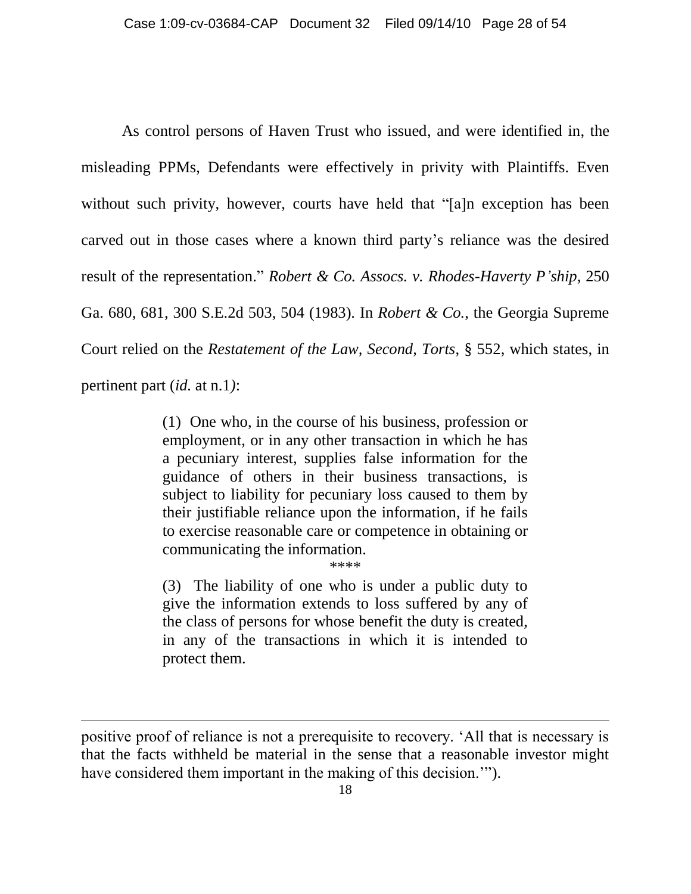As control persons of Haven Trust who issued, and were identified in, the misleading PPMs, Defendants were effectively in privity with Plaintiffs. Even without such privity, however, courts have held that "[a]n exception has been carved out in those cases where a known third party"s reliance was the desired result of the representation." *Robert & Co. Assocs. v. Rhodes-Haverty P'ship*, 250 Ga. 680, 681, 300 S.E.2d 503, 504 (1983). In *Robert & Co.*, the Georgia Supreme Court relied on the *Restatement of the Law, Second, Torts*, § 552, which states, in pertinent part (*id.* at n.1*)*:

> (1) One who, in the course of his business, profession or employment, or in any other transaction in which he has a pecuniary interest, supplies false information for the guidance of others in their business transactions, is subject to liability for pecuniary loss caused to them by their justifiable reliance upon the information, if he fails to exercise reasonable care or competence in obtaining or communicating the information.

\*\*\*\*

(3) The liability of one who is under a public duty to give the information extends to loss suffered by any of the class of persons for whose benefit the duty is created, in any of the transactions in which it is intended to protect them.

positive proof of reliance is not a prerequisite to recovery. "All that is necessary is that the facts withheld be material in the sense that a reasonable investor might have considered them important in the making of this decision."").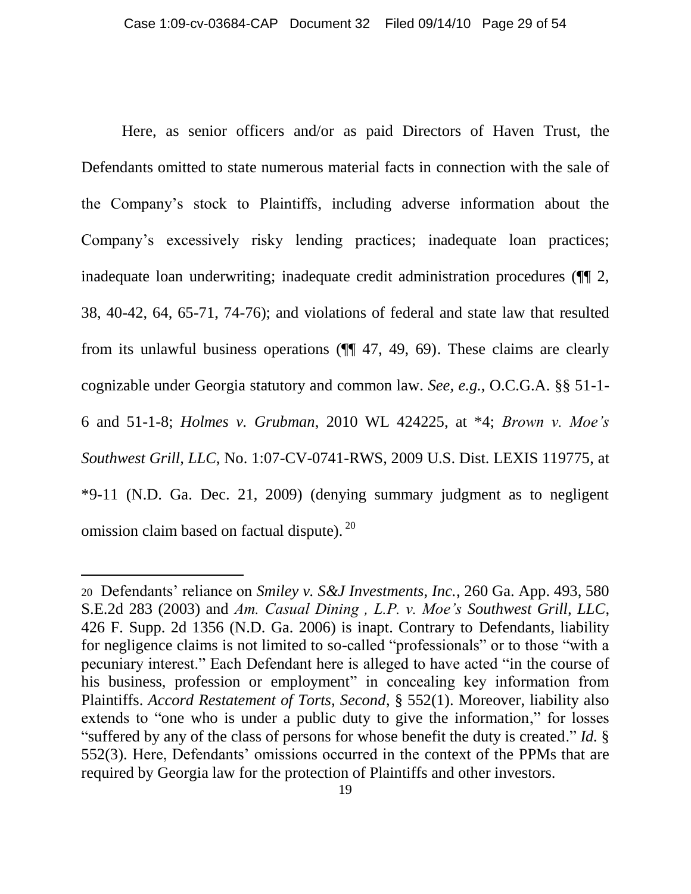Here, as senior officers and/or as paid Directors of Haven Trust, the Defendants omitted to state numerous material facts in connection with the sale of the Company"s stock to Plaintiffs, including adverse information about the Company"s excessively risky lending practices; inadequate loan practices; inadequate loan underwriting; inadequate credit administration procedures (¶¶ 2, 38, 40-42, 64, 65-71, 74-76); and violations of federal and state law that resulted from its unlawful business operations (¶¶ 47, 49, 69). These claims are clearly cognizable under Georgia statutory and common law. *See, e.g.*, O.C.G.A. §§ 51-1- 6 and 51-1-8; *Holmes v. Grubman*, 2010 WL 424225, at \*4; *Brown v. Moe's Southwest Grill, LLC*, No. 1:07-CV-0741-RWS, 2009 U.S. Dist. LEXIS 119775, at \*9-11 (N.D. Ga. Dec. 21, 2009) (denying summary judgment as to negligent omission claim based on factual dispute). <sup>20</sup>

<sup>20</sup> Defendants" reliance on *Smiley v. S&J Investments, Inc.*, 260 Ga. App. 493, 580 S.E.2d 283 (2003) and *Am. Casual Dining , L.P. v. Moe's Southwest Grill, LLC*, 426 F. Supp. 2d 1356 (N.D. Ga. 2006) is inapt. Contrary to Defendants, liability for negligence claims is not limited to so-called "professionals" or to those "with a pecuniary interest." Each Defendant here is alleged to have acted "in the course of his business, profession or employment" in concealing key information from Plaintiffs. *Accord Restatement of Torts, Second*, § 552(1). Moreover, liability also extends to "one who is under a public duty to give the information," for losses "suffered by any of the class of persons for whose benefit the duty is created." *Id.* § 552(3). Here, Defendants" omissions occurred in the context of the PPMs that are required by Georgia law for the protection of Plaintiffs and other investors.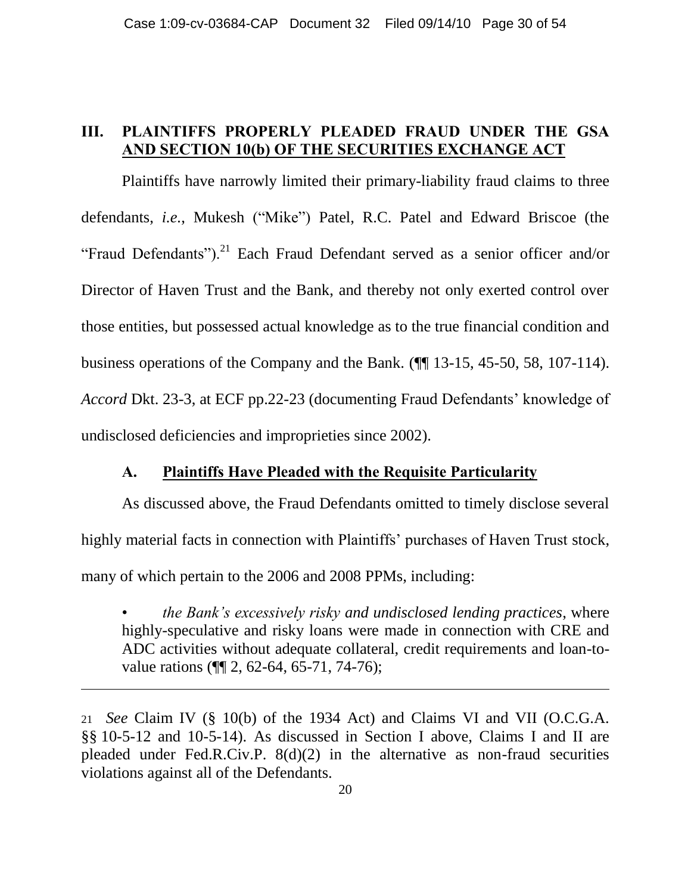### <span id="page-29-0"></span>**III. PLAINTIFFS PROPERLY PLEADED FRAUD UNDER THE GSA AND SECTION 10(b) OF THE SECURITIES EXCHANGE ACT**

Plaintiffs have narrowly limited their primary-liability fraud claims to three defendants, *i.e.*, Mukesh ("Mike") Patel, R.C. Patel and Edward Briscoe (the "Fraud Defendants").<sup>21</sup> Each Fraud Defendant served as a senior officer and/or Director of Haven Trust and the Bank, and thereby not only exerted control over those entities, but possessed actual knowledge as to the true financial condition and business operations of the Company and the Bank. (¶¶ 13-15, 45-50, 58, 107-114). *Accord* Dkt. 23-3, at ECF pp.22-23 (documenting Fraud Defendants' knowledge of undisclosed deficiencies and improprieties since 2002).

#### **A. Plaintiffs Have Pleaded with the Requisite Particularity**

<span id="page-29-1"></span>As discussed above, the Fraud Defendants omitted to timely disclose several highly material facts in connection with Plaintiffs' purchases of Haven Trust stock, many of which pertain to the 2006 and 2008 PPMs, including:

• *the Bank's excessively risky and undisclosed lending practices*, where highly-speculative and risky loans were made in connection with CRE and ADC activities without adequate collateral, credit requirements and loan-tovalue rations (¶¶ 2, 62-64, 65-71, 74-76);

<sup>21</sup> *See* Claim IV (§ 10(b) of the 1934 Act) and Claims VI and VII (O.C.G.A. §§ 10-5-12 and 10-5-14). As discussed in Section I above, Claims I and II are pleaded under Fed.R.Civ.P.  $8(d)(2)$  in the alternative as non-fraud securities violations against all of the Defendants.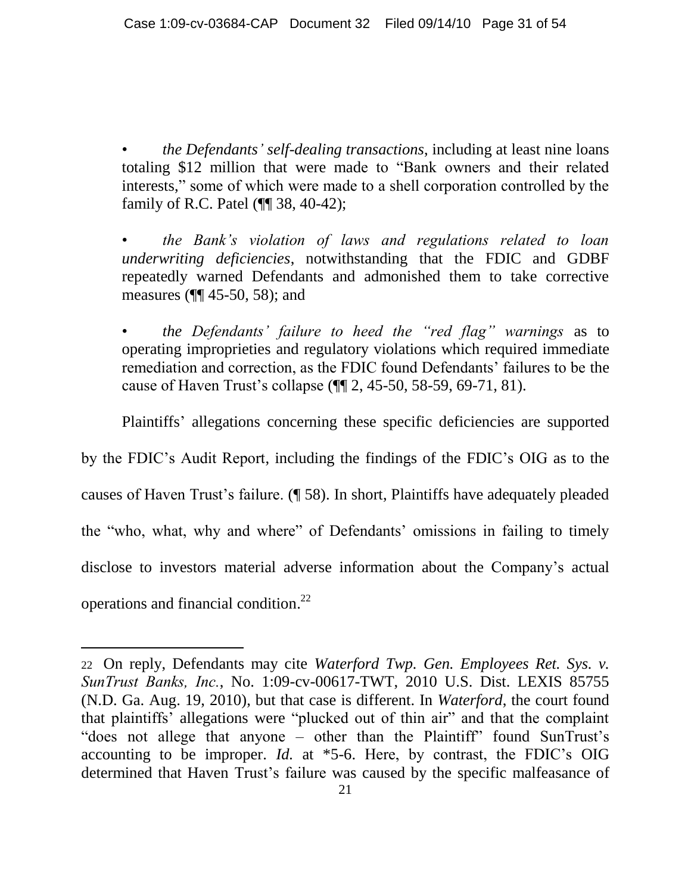• *the Defendants' self-dealing transactions*, including at least nine loans totaling \$12 million that were made to "Bank owners and their related interests," some of which were made to a shell corporation controlled by the family of R.C. Patel (¶¶ 38, 40-42);

• *the Bank's violation of laws and regulations related to loan underwriting deficiencies*, notwithstanding that the FDIC and GDBF repeatedly warned Defendants and admonished them to take corrective measures (¶¶ 45-50, 58); and

• *the Defendants' failure to heed the "red flag" warnings* as to operating improprieties and regulatory violations which required immediate remediation and correction, as the FDIC found Defendants" failures to be the cause of Haven Trust"s collapse (¶¶ 2, 45-50, 58-59, 69-71, 81).

Plaintiffs" allegations concerning these specific deficiencies are supported

by the FDIC"s Audit Report, including the findings of the FDIC"s OIG as to the causes of Haven Trust"s failure. (¶ 58). In short, Plaintiffs have adequately pleaded the "who, what, why and where" of Defendants" omissions in failing to timely disclose to investors material adverse information about the Company"s actual operations and financial condition. 22

<sup>22</sup> On reply, Defendants may cite *Waterford Twp. Gen. Employees Ret. Sys. v. SunTrust Banks, Inc.*, No. 1:09-cv-00617-TWT, 2010 U.S. Dist. LEXIS 85755 (N.D. Ga. Aug. 19, 2010), but that case is different. In *Waterford*, the court found that plaintiffs" allegations were "plucked out of thin air" and that the complaint "does not allege that anyone – other than the Plaintiff" found SunTrust's accounting to be improper. *Id.* at \*5-6. Here, by contrast, the FDIC"s OIG determined that Haven Trust"s failure was caused by the specific malfeasance of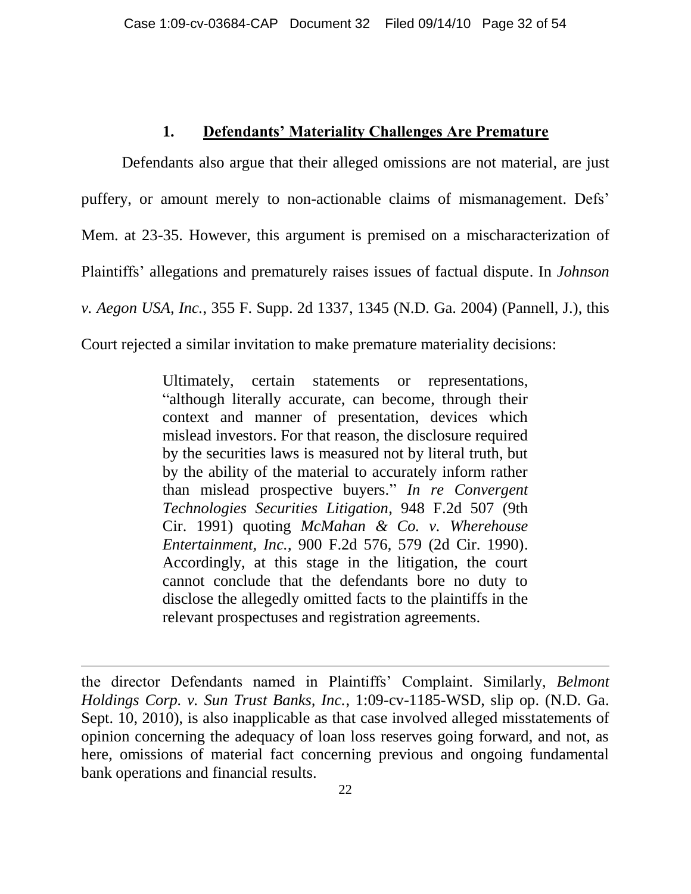#### **1. Defendants' Materiality Challenges Are Premature**

<span id="page-31-0"></span>Defendants also argue that their alleged omissions are not material, are just puffery, or amount merely to non-actionable claims of mismanagement. Defs' Mem. at 23-35. However, this argument is premised on a mischaracterization of Plaintiffs" allegations and prematurely raises issues of factual dispute. In *Johnson v. Aegon USA, Inc.*, 355 F. Supp. 2d 1337, 1345 (N.D. Ga. 2004) (Pannell, J.), this Court rejected a similar invitation to make premature materiality decisions:

> Ultimately, certain statements or representations, "although literally accurate, can become, through their context and manner of presentation, devices which mislead investors. For that reason, the disclosure required by the securities laws is measured not by literal truth, but by the ability of the material to accurately inform rather than mislead prospective buyers." *In re Convergent Technologies Securities Litigation*, 948 F.2d 507 (9th Cir. 1991) quoting *McMahan & Co. v. Wherehouse Entertainment, Inc.*, 900 F.2d 576, 579 (2d Cir. 1990). Accordingly, at this stage in the litigation, the court cannot conclude that the defendants bore no duty to disclose the allegedly omitted facts to the plaintiffs in the relevant prospectuses and registration agreements.

the director Defendants named in Plaintiffs" Complaint. Similarly, *Belmont Holdings Corp. v. Sun Trust Banks, Inc.*, 1:09-cv-1185-WSD, slip op. (N.D. Ga. Sept. 10, 2010), is also inapplicable as that case involved alleged misstatements of opinion concerning the adequacy of loan loss reserves going forward, and not, as here, omissions of material fact concerning previous and ongoing fundamental bank operations and financial results.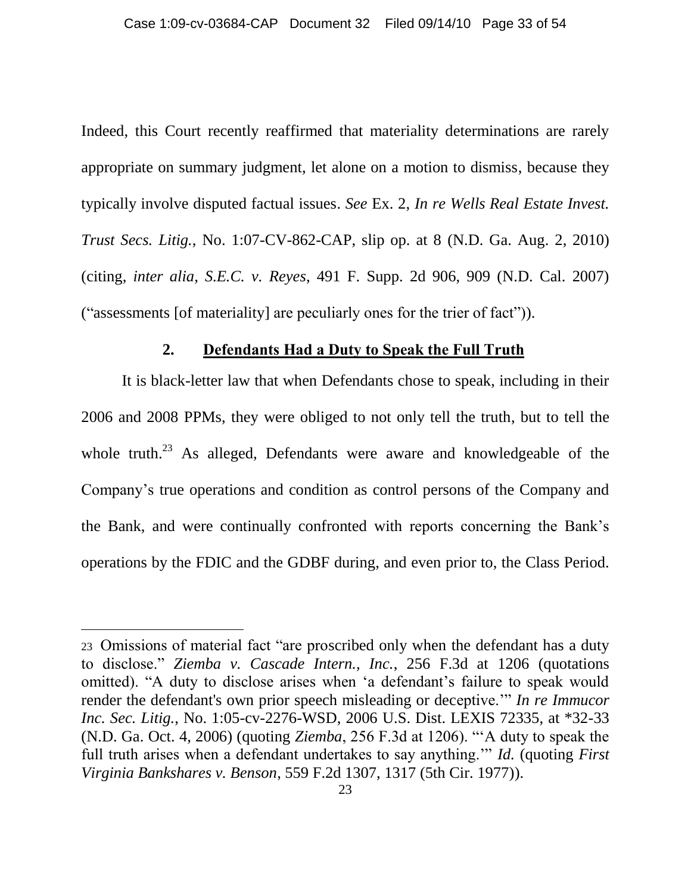Indeed, this Court recently reaffirmed that materiality determinations are rarely appropriate on summary judgment, let alone on a motion to dismiss, because they typically involve disputed factual issues. *See* Ex. 2, *In re Wells Real Estate Invest. Trust Secs. Litig.*, No. 1:07-CV-862-CAP, slip op. at 8 (N.D. Ga. Aug. 2, 2010) (citing, *inter alia*, *S.E.C. v. Reyes*, 491 F. Supp. 2d 906, 909 (N.D. Cal. 2007) ("assessments [of materiality] are peculiarly ones for the trier of fact")).

#### **2. Defendants Had a Duty to Speak the Full Truth**

<span id="page-32-0"></span>It is black-letter law that when Defendants chose to speak, including in their 2006 and 2008 PPMs, they were obliged to not only tell the truth, but to tell the whole truth.<sup>23</sup> As alleged, Defendants were aware and knowledgeable of the Company"s true operations and condition as control persons of the Company and the Bank, and were continually confronted with reports concerning the Bank"s operations by the FDIC and the GDBF during, and even prior to, the Class Period.

<sup>23</sup> Omissions of material fact "are proscribed only when the defendant has a duty to disclose." *Ziemba v. Cascade Intern., Inc.*, 256 F.3d at 1206 (quotations omitted). "A duty to disclose arises when "a defendant"s failure to speak would render the defendant's own prior speech misleading or deceptive."" *In re Immucor Inc. Sec. Litig.*, No. 1:05-cv-2276-WSD, 2006 U.S. Dist. LEXIS 72335, at \*32-33 (N.D. Ga. Oct. 4, 2006) (quoting *Ziemba*, 256 F.3d at 1206). ""A duty to speak the full truth arises when a defendant undertakes to say anything."" *Id.* (quoting *First Virginia Bankshares v. Benson*, 559 F.2d 1307, 1317 (5th Cir. 1977)).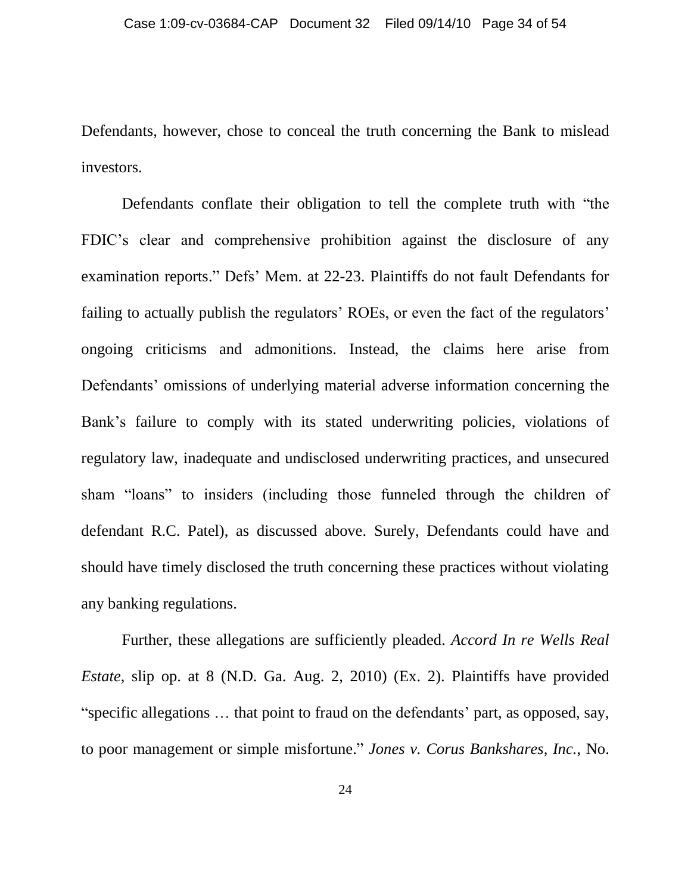Defendants, however, chose to conceal the truth concerning the Bank to mislead investors.

Defendants conflate their obligation to tell the complete truth with "the FDIC"s clear and comprehensive prohibition against the disclosure of any examination reports." Defs" Mem. at 22-23. Plaintiffs do not fault Defendants for failing to actually publish the regulators' ROEs, or even the fact of the regulators' ongoing criticisms and admonitions. Instead, the claims here arise from Defendants' omissions of underlying material adverse information concerning the Bank's failure to comply with its stated underwriting policies, violations of regulatory law, inadequate and undisclosed underwriting practices, and unsecured sham "loans" to insiders (including those funneled through the children of defendant R.C. Patel), as discussed above. Surely, Defendants could have and should have timely disclosed the truth concerning these practices without violating any banking regulations.

Further, these allegations are sufficiently pleaded. *Accord In re Wells Real Estate*, slip op. at 8 (N.D. Ga. Aug. 2, 2010) (Ex. 2). Plaintiffs have provided "specific allegations ... that point to fraud on the defendants' part, as opposed, say, to poor management or simple misfortune." *Jones v. Corus Bankshares, Inc.*, No.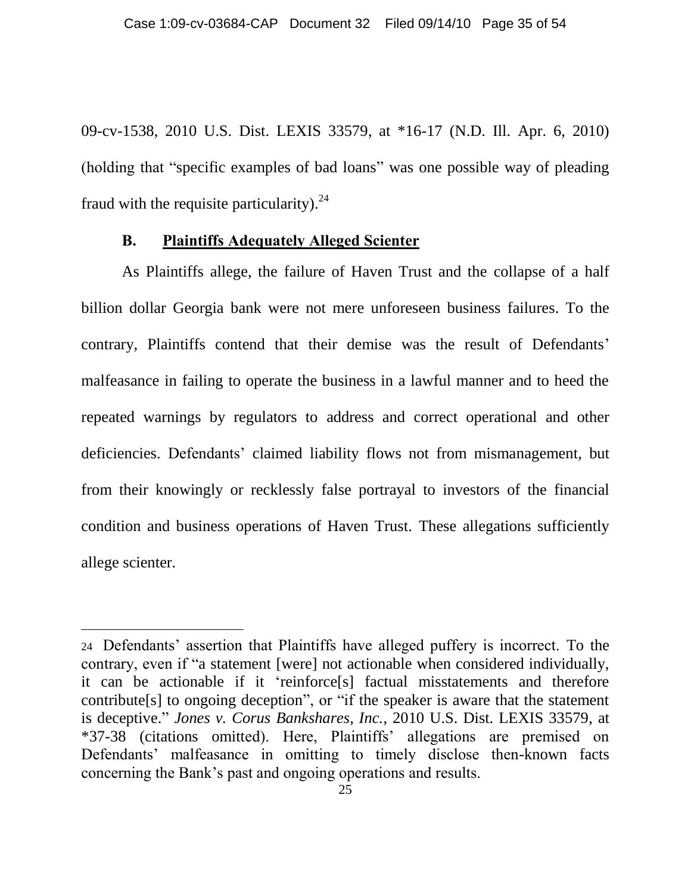09-cv-1538, 2010 U.S. Dist. LEXIS 33579, at \*16-17 (N.D. Ill. Apr. 6, 2010) (holding that "specific examples of bad loans" was one possible way of pleading fraud with the requisite particularity).  $24$ 

#### **B. Plaintiffs Adequately Alleged Scienter**

 $\overline{a}$ 

<span id="page-34-0"></span>As Plaintiffs allege, the failure of Haven Trust and the collapse of a half billion dollar Georgia bank were not mere unforeseen business failures. To the contrary, Plaintiffs contend that their demise was the result of Defendants' malfeasance in failing to operate the business in a lawful manner and to heed the repeated warnings by regulators to address and correct operational and other deficiencies. Defendants' claimed liability flows not from mismanagement, but from their knowingly or recklessly false portrayal to investors of the financial condition and business operations of Haven Trust. These allegations sufficiently allege scienter.

<sup>24</sup> Defendants" assertion that Plaintiffs have alleged puffery is incorrect. To the contrary, even if "a statement [were] not actionable when considered individually, it can be actionable if it "reinforce[s] factual misstatements and therefore contribute[s] to ongoing deception", or "if the speaker is aware that the statement is deceptive." *Jones v. Corus Bankshares, Inc.*, 2010 U.S. Dist. LEXIS 33579, at \*37-38 (citations omitted). Here, Plaintiffs" allegations are premised on Defendants' malfeasance in omitting to timely disclose then-known facts concerning the Bank"s past and ongoing operations and results.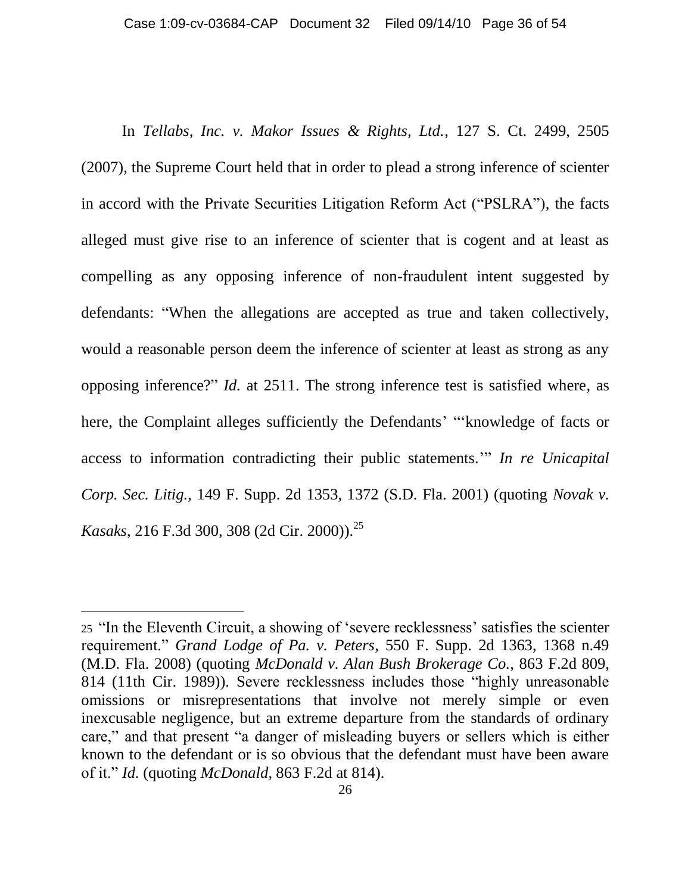In *Tellabs, Inc. v. Makor Issues & Rights, Ltd.*, 127 S. Ct. 2499, 2505 (2007), the Supreme Court held that in order to plead a strong inference of scienter in accord with the Private Securities Litigation Reform Act ("PSLRA"), the facts alleged must give rise to an inference of scienter that is cogent and at least as compelling as any opposing inference of non-fraudulent intent suggested by defendants: "When the allegations are accepted as true and taken collectively, would a reasonable person deem the inference of scienter at least as strong as any opposing inference?" *Id.* at 2511. The strong inference test is satisfied where, as here, the Complaint alleges sufficiently the Defendants' "'knowledge of facts or access to information contradicting their public statements."" *In re Unicapital Corp. Sec. Litig.*, 149 F. Supp. 2d 1353, 1372 (S.D. Fla. 2001) (quoting *Novak v. Kasaks*, 216 F.3d 300, 308 (2d Cir. 2000)).<sup>25</sup>

<sup>25</sup> "In the Eleventh Circuit, a showing of "severe recklessness" satisfies the scienter requirement." *Grand Lodge of Pa. v. Peters*, 550 F. Supp. 2d 1363, 1368 n.49 (M.D. Fla. 2008) (quoting *McDonald v. Alan Bush Brokerage Co.*, 863 F.2d 809, 814 (11th Cir. 1989)). Severe recklessness includes those "highly unreasonable omissions or misrepresentations that involve not merely simple or even inexcusable negligence, but an extreme departure from the standards of ordinary care," and that present "a danger of misleading buyers or sellers which is either known to the defendant or is so obvious that the defendant must have been aware of it." *Id.* (quoting *McDonald*, 863 F.2d at 814).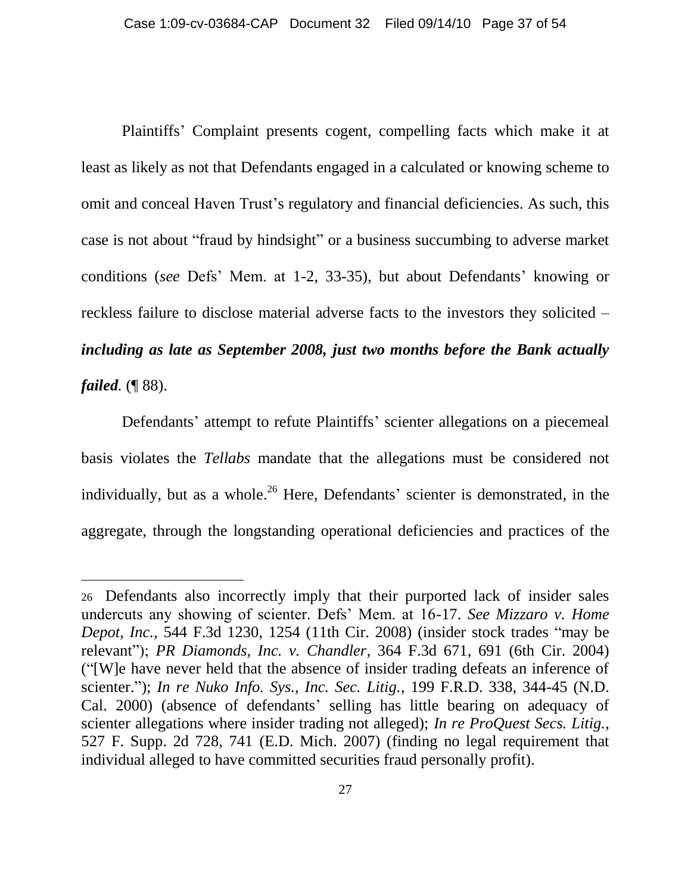Plaintiffs" Complaint presents cogent, compelling facts which make it at least as likely as not that Defendants engaged in a calculated or knowing scheme to omit and conceal Haven Trust"s regulatory and financial deficiencies. As such, this case is not about "fraud by hindsight" or a business succumbing to adverse market conditions (*see* Defs" Mem. at 1-2, 33-35), but about Defendants" knowing or reckless failure to disclose material adverse facts to the investors they solicited – *including as late as September 2008, just two months before the Bank actually failed.* (¶ 88).

Defendants' attempt to refute Plaintiffs' scienter allegations on a piecemeal basis violates the *Tellabs* mandate that the allegations must be considered not individually, but as a whole.<sup>26</sup> Here, Defendants' scienter is demonstrated, in the aggregate, through the longstanding operational deficiencies and practices of the

<sup>26</sup> Defendants also incorrectly imply that their purported lack of insider sales undercuts any showing of scienter. Defs" Mem. at 16-17. *See Mizzaro v. Home Depot, Inc.,* 544 F.3d 1230, 1254 (11th Cir. 2008) (insider stock trades "may be relevant"); *PR Diamonds, Inc. v. Chandler*, 364 F.3d 671, 691 (6th Cir. 2004) ("[W]e have never held that the absence of insider trading defeats an inference of scienter."); *In re Nuko Info. Sys., Inc. Sec. Litig.*, 199 F.R.D. 338, 344-45 (N.D. Cal. 2000) (absence of defendants' selling has little bearing on adequacy of scienter allegations where insider trading not alleged); *In re ProQuest Secs. Litig.*, 527 F. Supp. 2d 728, 741 (E.D. Mich. 2007) (finding no legal requirement that individual alleged to have committed securities fraud personally profit).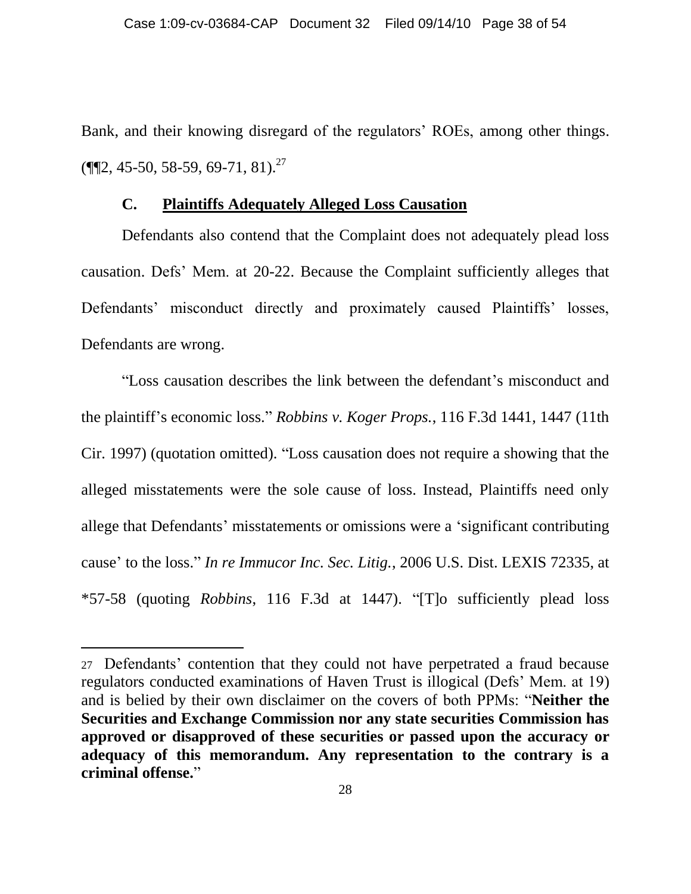Bank, and their knowing disregard of the regulators' ROEs, among other things.  $(\P\P2, 45-50, 58-59, 69-71, 81).^{27}$ 

#### **C. Plaintiffs Adequately Alleged Loss Causation**

<span id="page-37-0"></span>Defendants also contend that the Complaint does not adequately plead loss causation. Defs" Mem. at 20-22. Because the Complaint sufficiently alleges that Defendants' misconduct directly and proximately caused Plaintiffs' losses, Defendants are wrong.

"Loss causation describes the link between the defendant"s misconduct and the plaintiff"s economic loss." *Robbins v. Koger Props.*, 116 F.3d 1441, 1447 (11th Cir. 1997) (quotation omitted). "Loss causation does not require a showing that the alleged misstatements were the sole cause of loss. Instead, Plaintiffs need only allege that Defendants' misstatements or omissions were a 'significant contributing cause" to the loss." *In re Immucor Inc. Sec. Litig.*, 2006 U.S. Dist. LEXIS 72335, at \*57-58 (quoting *Robbins*, 116 F.3d at 1447). "[T]o sufficiently plead loss

<sup>27</sup> Defendants" contention that they could not have perpetrated a fraud because regulators conducted examinations of Haven Trust is illogical (Defs" Mem. at 19) and is belied by their own disclaimer on the covers of both PPMs: "**Neither the Securities and Exchange Commission nor any state securities Commission has approved or disapproved of these securities or passed upon the accuracy or adequacy of this memorandum. Any representation to the contrary is a criminal offense.**"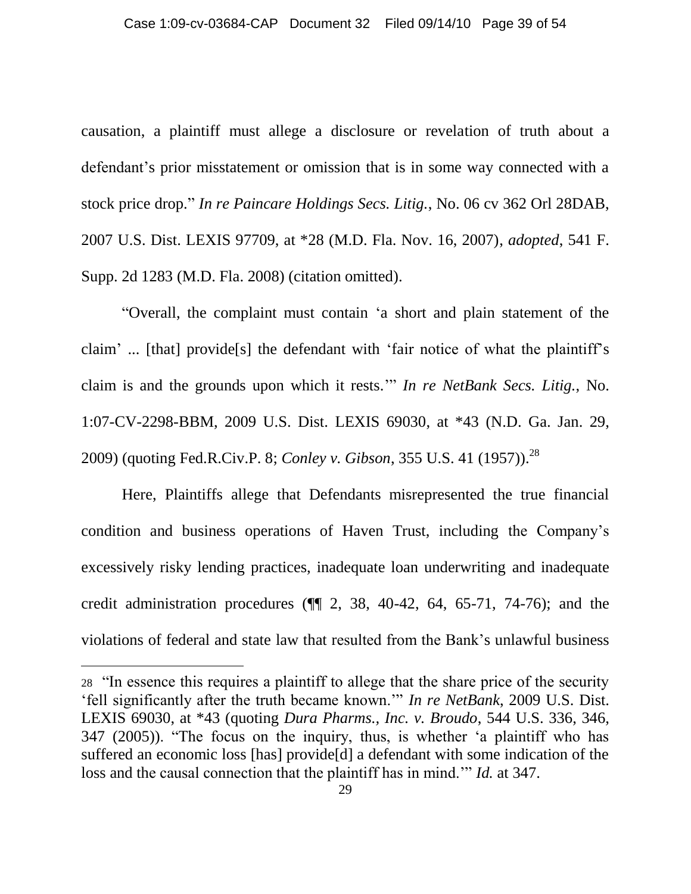causation, a plaintiff must allege a disclosure or revelation of truth about a defendant"s prior misstatement or omission that is in some way connected with a stock price drop." *In re Paincare Holdings Secs. Litig.*, No. 06 cv 362 Orl 28DAB, 2007 U.S. Dist. LEXIS 97709, at \*28 (M.D. Fla. Nov. 16, 2007), *adopted*, 541 F. Supp. 2d 1283 (M.D. Fla. 2008) (citation omitted).

"Overall, the complaint must contain "a short and plain statement of the claim" ... [that] provide[s] the defendant with "fair notice of what the plaintiff"s claim is and the grounds upon which it rests."" *In re NetBank Secs. Litig.*, No. 1:07-CV-2298-BBM, 2009 U.S. Dist. LEXIS 69030, at \*43 (N.D. Ga. Jan. 29, 2009) (quoting Fed.R.Civ.P. 8; *Conley v. Gibson*, 355 U.S. 41 (1957)).<sup>28</sup>

Here, Plaintiffs allege that Defendants misrepresented the true financial condition and business operations of Haven Trust, including the Company"s excessively risky lending practices, inadequate loan underwriting and inadequate credit administration procedures  $(\P\P 2, 38, 40-42, 64, 65-71, 74-76)$ ; and the violations of federal and state law that resulted from the Bank"s unlawful business

<sup>28</sup> "In essence this requires a plaintiff to allege that the share price of the security "fell significantly after the truth became known."" *In re NetBank*, 2009 U.S. Dist. LEXIS 69030, at \*43 (quoting *Dura Pharms., Inc. v. Broudo*, 544 U.S. 336, 346, 347 (2005)). "The focus on the inquiry, thus, is whether "a plaintiff who has suffered an economic loss [has] provide[d] a defendant with some indication of the loss and the causal connection that the plaintiff has in mind."" *Id.* at 347.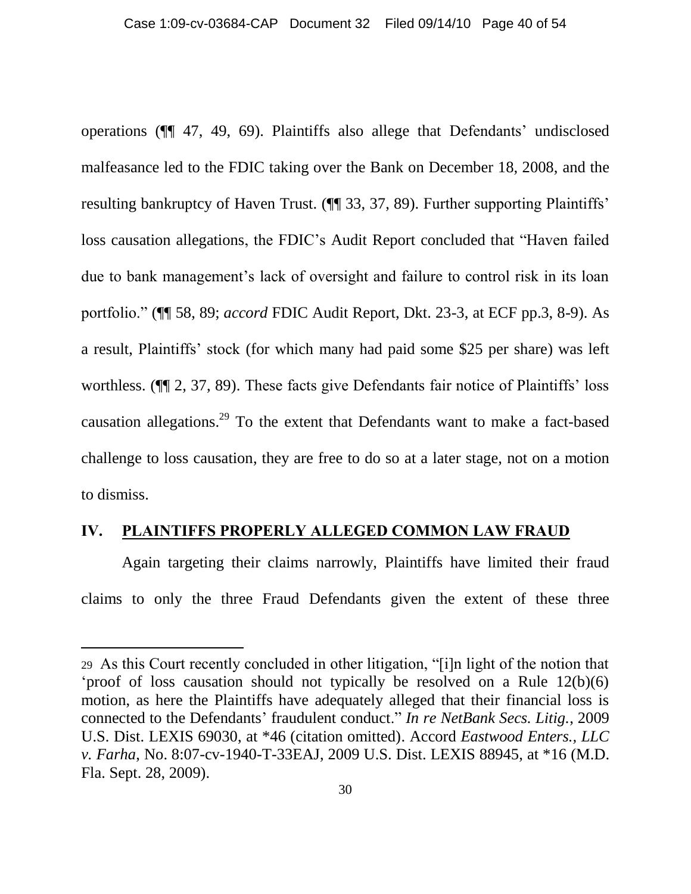operations (¶¶ 47, 49, 69). Plaintiffs also allege that Defendants" undisclosed malfeasance led to the FDIC taking over the Bank on December 18, 2008, and the resulting bankruptcy of Haven Trust. ( $\P$  33, 37, 89). Further supporting Plaintiffs' loss causation allegations, the FDIC"s Audit Report concluded that "Haven failed due to bank management's lack of oversight and failure to control risk in its loan portfolio." (¶¶ 58, 89; *accord* FDIC Audit Report, Dkt. 23-3, at ECF pp.3, 8-9). As a result, Plaintiffs" stock (for which many had paid some \$25 per share) was left worthless. ( $\P$ [2, 37, 89). These facts give Defendants fair notice of Plaintiffs' loss causation allegations.<sup>29</sup> To the extent that Defendants want to make a fact-based challenge to loss causation, they are free to do so at a later stage, not on a motion to dismiss.

#### <span id="page-39-0"></span>**IV. PLAINTIFFS PROPERLY ALLEGED COMMON LAW FRAUD**

 $\overline{a}$ 

Again targeting their claims narrowly, Plaintiffs have limited their fraud claims to only the three Fraud Defendants given the extent of these three

<sup>29</sup> As this Court recently concluded in other litigation, "[i]n light of the notion that 'proof of loss causation should not typically be resolved on a Rule  $12(b)(6)$ motion, as here the Plaintiffs have adequately alleged that their financial loss is connected to the Defendants" fraudulent conduct." *In re NetBank Secs. Litig.*, 2009 U.S. Dist. LEXIS 69030, at \*46 (citation omitted). Accord *Eastwood Enters., LLC v. Farha*, No. 8:07-cv-1940-T-33EAJ, 2009 U.S. Dist. LEXIS 88945, at \*16 (M.D. Fla. Sept. 28, 2009).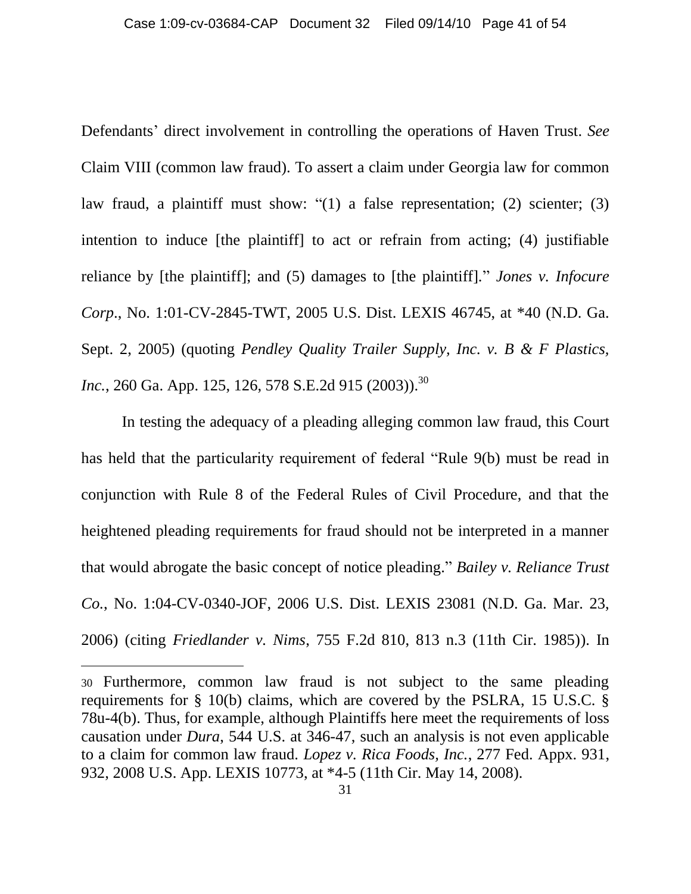Defendants' direct involvement in controlling the operations of Haven Trust. *See* Claim VIII (common law fraud). To assert a claim under Georgia law for common law fraud, a plaintiff must show: "(1) a false representation; (2) scienter; (3) intention to induce [the plaintiff] to act or refrain from acting; (4) justifiable reliance by [the plaintiff]; and (5) damages to [the plaintiff]." *Jones v. Infocure Corp*., No. 1:01-CV-2845-TWT, 2005 U.S. Dist. LEXIS 46745, at \*40 (N.D. Ga. Sept. 2, 2005) (quoting *Pendley Quality Trailer Supply, Inc. v. B & F Plastics, Inc.*, 260 Ga. App. 125, 126, 578 S.E.2d 915 (2003)). 30

In testing the adequacy of a pleading alleging common law fraud, this Court has held that the particularity requirement of federal "Rule 9(b) must be read in conjunction with Rule 8 of the Federal Rules of Civil Procedure, and that the heightened pleading requirements for fraud should not be interpreted in a manner that would abrogate the basic concept of notice pleading." *Bailey v. Reliance Trust Co.*, No. 1:04-CV-0340-JOF, 2006 U.S. Dist. LEXIS 23081 (N.D. Ga. Mar. 23, 2006) (citing *Friedlander v. Nims*, 755 F.2d 810, 813 n.3 (11th Cir. 1985)). In

<sup>30</sup> Furthermore, common law fraud is not subject to the same pleading requirements for § 10(b) claims, which are covered by the PSLRA, 15 U.S.C. § 78u-4(b). Thus, for example, although Plaintiffs here meet the requirements of loss causation under *Dura*, 544 U.S. at 346-47, such an analysis is not even applicable to a claim for common law fraud. *Lopez v. Rica Foods, Inc.*, 277 Fed. Appx. 931, 932, 2008 U.S. App. LEXIS 10773, at \*4-5 (11th Cir. May 14, 2008).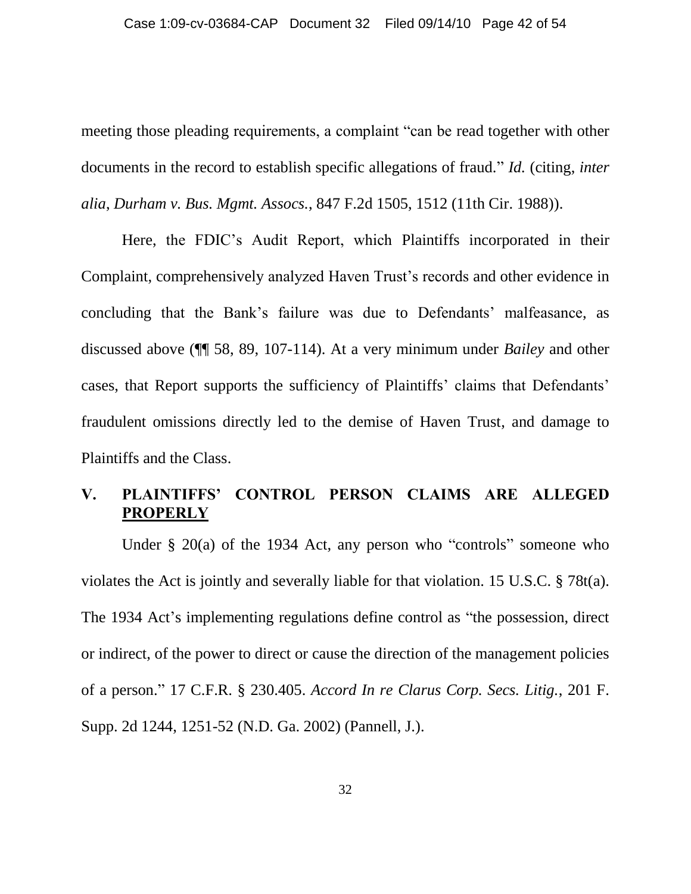meeting those pleading requirements, a complaint "can be read together with other documents in the record to establish specific allegations of fraud." *Id.* (citing, *inter alia*, *Durham v. Bus. Mgmt. Assocs.*, 847 F.2d 1505, 1512 (11th Cir. 1988)).

Here, the FDIC's Audit Report, which Plaintiffs incorporated in their Complaint, comprehensively analyzed Haven Trust's records and other evidence in concluding that the Bank's failure was due to Defendants' malfeasance, as discussed above (¶¶ 58, 89, 107-114). At a very minimum under *Bailey* and other cases, that Report supports the sufficiency of Plaintiffs' claims that Defendants' fraudulent omissions directly led to the demise of Haven Trust, and damage to Plaintiffs and the Class.

### <span id="page-41-0"></span>**V. PLAINTIFFS' CONTROL PERSON CLAIMS ARE ALLEGED PROPERLY**

Under § 20(a) of the 1934 Act, any person who "controls" someone who violates the Act is jointly and severally liable for that violation. 15 U.S.C. § 78t(a). The 1934 Act's implementing regulations define control as "the possession, direct or indirect, of the power to direct or cause the direction of the management policies of a person." 17 C.F.R. § 230.405. *Accord In re Clarus Corp. Secs. Litig.*, 201 F. Supp. 2d 1244, 1251-52 (N.D. Ga. 2002) (Pannell, J.).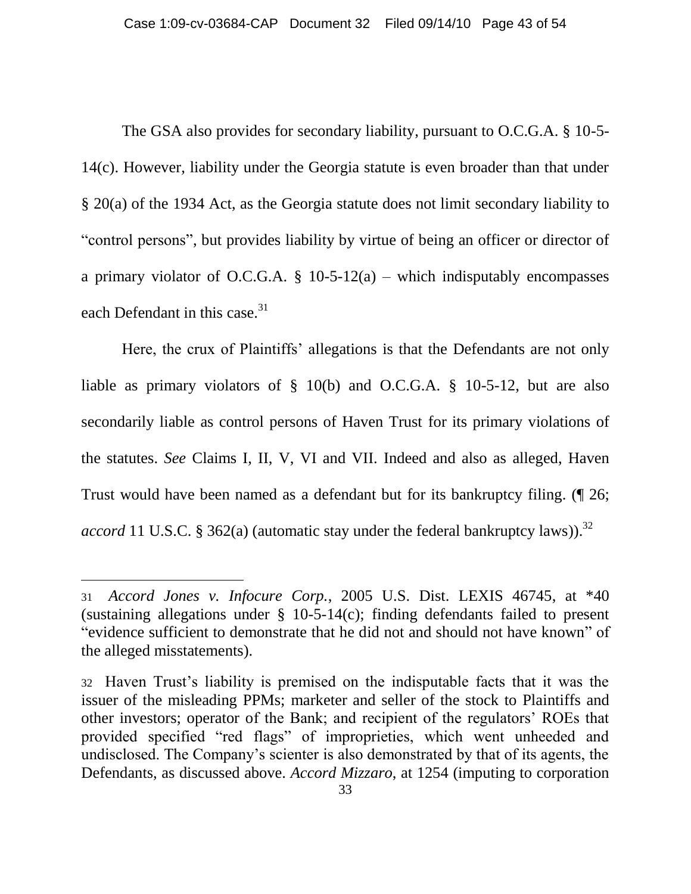The GSA also provides for secondary liability, pursuant to O.C.G.A. § 10-5- 14(c). However, liability under the Georgia statute is even broader than that under § 20(a) of the 1934 Act, as the Georgia statute does not limit secondary liability to "control persons", but provides liability by virtue of being an officer or director of a primary violator of O.C.G.A.  $\S$  10-5-12(a) – which indisputably encompasses each Defendant in this case.<sup>31</sup>

Here, the crux of Plaintiffs' allegations is that the Defendants are not only liable as primary violators of § 10(b) and O.C.G.A. § 10-5-12, but are also secondarily liable as control persons of Haven Trust for its primary violations of the statutes. *See* Claims I, II, V, VI and VII. Indeed and also as alleged, Haven Trust would have been named as a defendant but for its bankruptcy filing. (¶ 26; accord 11 U.S.C. § 362(a) (automatic stay under the federal bankruptcy laws)).<sup>32</sup>

<sup>31</sup> *Accord Jones v. Infocure Corp.*, 2005 U.S. Dist. LEXIS 46745, at \*40 (sustaining allegations under § 10-5-14(c); finding defendants failed to present "evidence sufficient to demonstrate that he did not and should not have known" of the alleged misstatements).

<sup>32</sup> Haven Trust"s liability is premised on the indisputable facts that it was the issuer of the misleading PPMs; marketer and seller of the stock to Plaintiffs and other investors; operator of the Bank; and recipient of the regulators" ROEs that provided specified "red flags" of improprieties, which went unheeded and undisclosed. The Company"s scienter is also demonstrated by that of its agents, the Defendants, as discussed above. *Accord Mizzaro*, at 1254 (imputing to corporation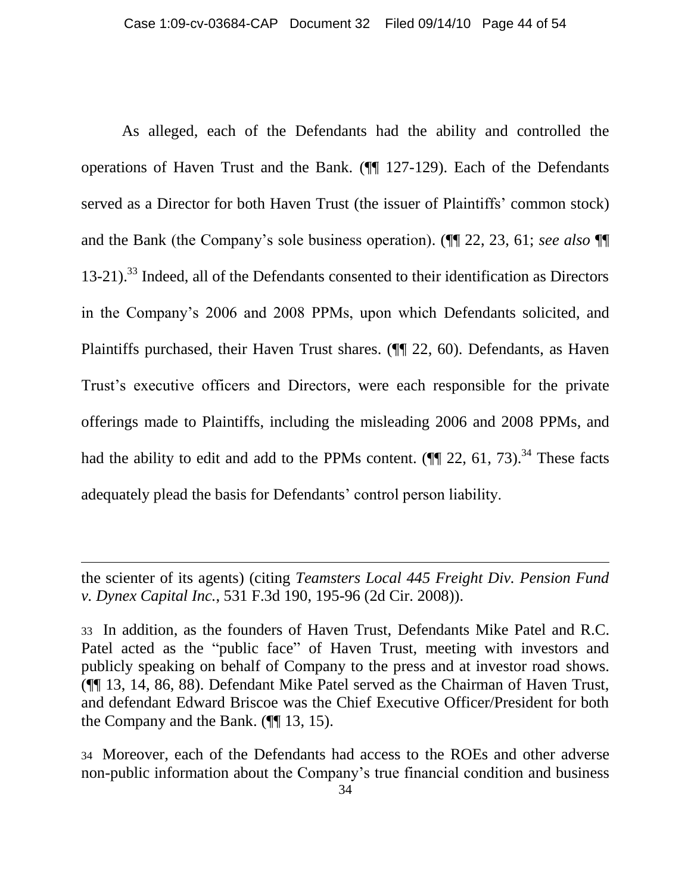As alleged, each of the Defendants had the ability and controlled the operations of Haven Trust and the Bank. (¶¶ 127-129). Each of the Defendants served as a Director for both Haven Trust (the issuer of Plaintiffs' common stock) and the Bank (the Company"s sole business operation). (¶¶ 22, 23, 61; *see also* ¶¶ 13-21).<sup>33</sup> Indeed, all of the Defendants consented to their identification as Directors in the Company"s 2006 and 2008 PPMs, upon which Defendants solicited, and Plaintiffs purchased, their Haven Trust shares. (¶¶ 22, 60). Defendants, as Haven Trust"s executive officers and Directors, were each responsible for the private offerings made to Plaintiffs, including the misleading 2006 and 2008 PPMs, and had the ability to edit and add to the PPMs content.  $(\P\P 22, 61, 73)$ .<sup>34</sup> These facts adequately plead the basis for Defendants' control person liability.

 $\overline{a}$ 

34 Moreover, each of the Defendants had access to the ROEs and other adverse non-public information about the Company"s true financial condition and business

the scienter of its agents) (citing *Teamsters Local 445 Freight Div. Pension Fund v. Dynex Capital Inc.*, 531 F.3d 190, 195-96 (2d Cir. 2008)).

<sup>33</sup> In addition, as the founders of Haven Trust, Defendants Mike Patel and R.C. Patel acted as the "public face" of Haven Trust, meeting with investors and publicly speaking on behalf of Company to the press and at investor road shows. (¶¶ 13, 14, 86, 88). Defendant Mike Patel served as the Chairman of Haven Trust, and defendant Edward Briscoe was the Chief Executive Officer/President for both the Company and the Bank. (¶¶ 13, 15).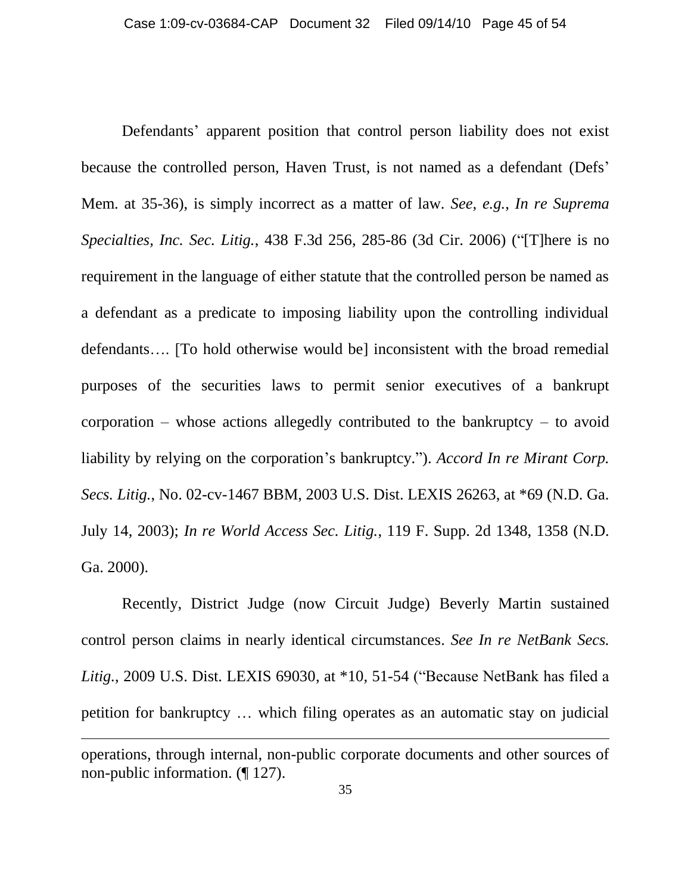Defendants' apparent position that control person liability does not exist because the controlled person, Haven Trust, is not named as a defendant (Defs" Mem. at 35-36), is simply incorrect as a matter of law. *See, e.g.*, *In re Suprema Specialties, Inc. Sec. Litig.*, 438 F.3d 256, 285-86 (3d Cir. 2006) ("[T]here is no requirement in the language of either statute that the controlled person be named as a defendant as a predicate to imposing liability upon the controlling individual defendants…. [To hold otherwise would be] inconsistent with the broad remedial purposes of the securities laws to permit senior executives of a bankrupt corporation – whose actions allegedly contributed to the bankruptcy – to avoid liability by relying on the corporation's bankruptcy."). *Accord In re Mirant Corp. Secs. Litig.*, No. 02-cv-1467 BBM, 2003 U.S. Dist. LEXIS 26263, at \*69 (N.D. Ga. July 14, 2003); *In re World Access Sec. Litig.*, 119 F. Supp. 2d 1348, 1358 (N.D. Ga. 2000).

Recently, District Judge (now Circuit Judge) Beverly Martin sustained control person claims in nearly identical circumstances. *See In re NetBank Secs. Litig.*, 2009 U.S. Dist. LEXIS 69030, at \*10, 51-54 ("Because NetBank has filed a petition for bankruptcy … which filing operates as an automatic stay on judicial  $\overline{a}$ operations, through internal, non-public corporate documents and other sources of non-public information. (¶ 127).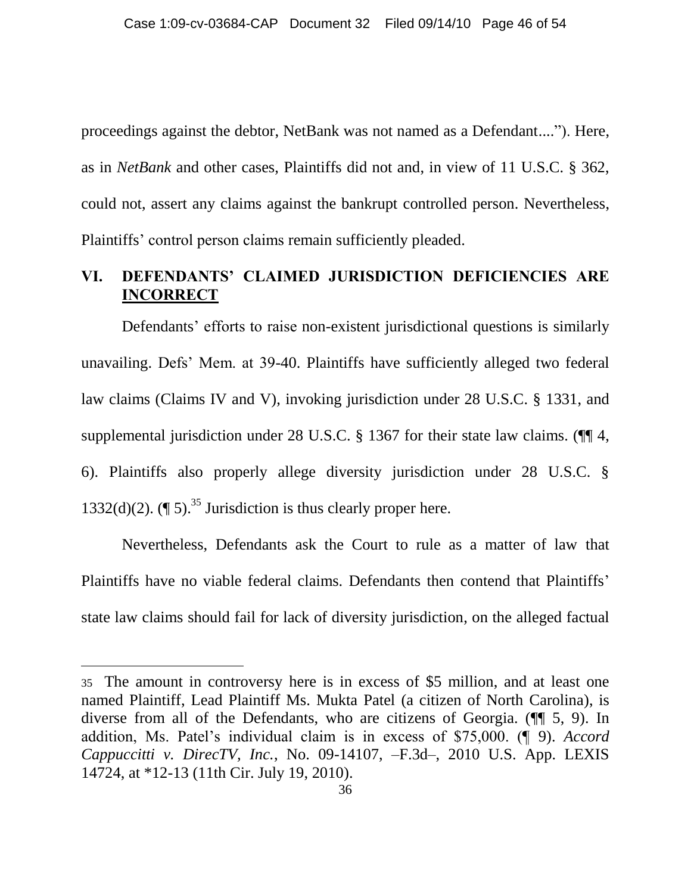proceedings against the debtor, NetBank was not named as a Defendant...."). Here, as in *NetBank* and other cases, Plaintiffs did not and, in view of 11 U.S.C. § 362, could not, assert any claims against the bankrupt controlled person. Nevertheless, Plaintiffs' control person claims remain sufficiently pleaded.

### <span id="page-45-0"></span>**VI. DEFENDANTS' CLAIMED JURISDICTION DEFICIENCIES ARE INCORRECT**

Defendants' efforts to raise non-existent jurisdictional questions is similarly unavailing. Defs" Mem. at 39-40. Plaintiffs have sufficiently alleged two federal law claims (Claims IV and V), invoking jurisdiction under 28 U.S.C. § 1331, and supplemental jurisdiction under 28 U.S.C. § 1367 for their state law claims. ( $\P$  4, 6). Plaintiffs also properly allege diversity jurisdiction under 28 U.S.C. § 1332(d)(2).  $(\P 5)^{35}$  Jurisdiction is thus clearly proper here.

Nevertheless, Defendants ask the Court to rule as a matter of law that Plaintiffs have no viable federal claims. Defendants then contend that Plaintiffs' state law claims should fail for lack of diversity jurisdiction, on the alleged factual

<sup>35</sup> The amount in controversy here is in excess of \$5 million, and at least one named Plaintiff, Lead Plaintiff Ms. Mukta Patel (a citizen of North Carolina), is diverse from all of the Defendants, who are citizens of Georgia. (¶¶ 5, 9). In addition, Ms. Patel"s individual claim is in excess of \$75,000. (¶ 9). *Accord Cappuccitti v. DirecTV, Inc.*, No. 09-14107, –F.3d–, 2010 U.S. App. LEXIS 14724, at \*12-13 (11th Cir. July 19, 2010).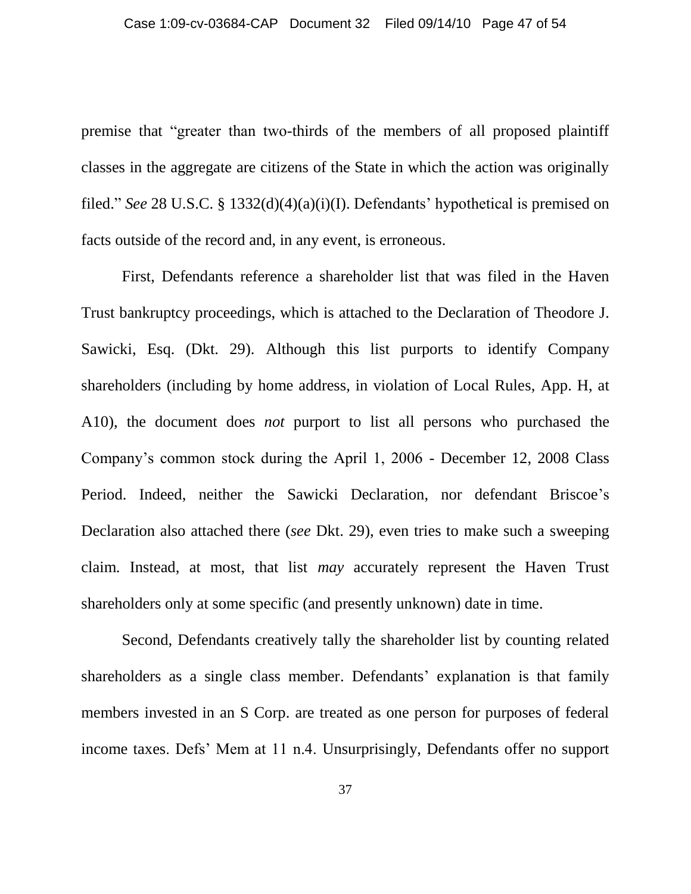premise that "greater than two-thirds of the members of all proposed plaintiff classes in the aggregate are citizens of the State in which the action was originally filed." *See* 28 U.S.C. § 1332(d)(4)(a)(i)(I). Defendants" hypothetical is premised on facts outside of the record and, in any event, is erroneous.

First, Defendants reference a shareholder list that was filed in the Haven Trust bankruptcy proceedings, which is attached to the Declaration of Theodore J. Sawicki, Esq. (Dkt. 29). Although this list purports to identify Company shareholders (including by home address, in violation of Local Rules, App. H, at A10), the document does *not* purport to list all persons who purchased the Company"s common stock during the April 1, 2006 - December 12, 2008 Class Period. Indeed, neither the Sawicki Declaration, nor defendant Briscoe's Declaration also attached there (*see* Dkt. 29), even tries to make such a sweeping claim. Instead, at most, that list *may* accurately represent the Haven Trust shareholders only at some specific (and presently unknown) date in time.

Second, Defendants creatively tally the shareholder list by counting related shareholders as a single class member. Defendants' explanation is that family members invested in an S Corp. are treated as one person for purposes of federal income taxes. Defs" Mem at 11 n.4. Unsurprisingly, Defendants offer no support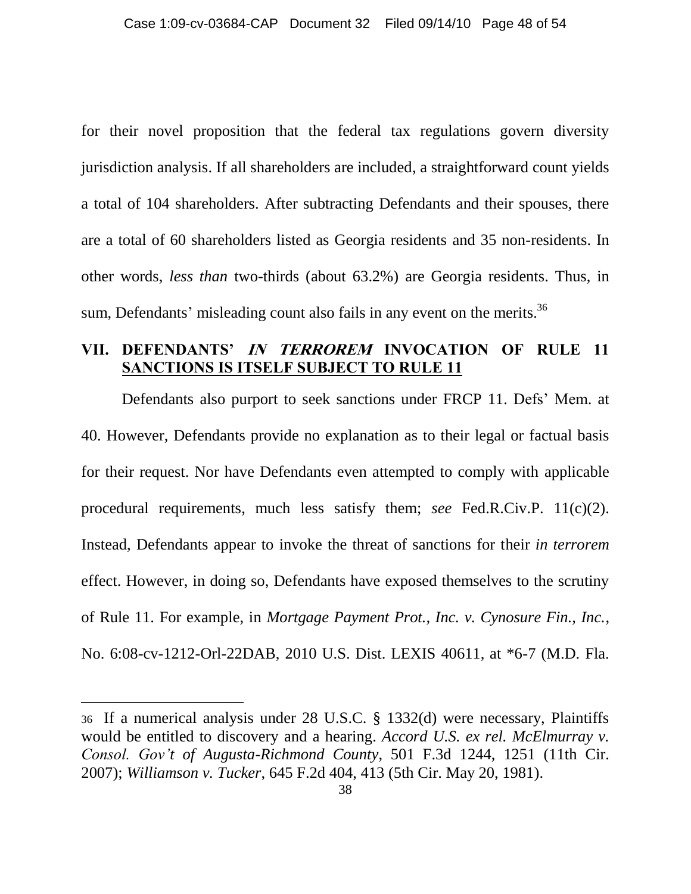for their novel proposition that the federal tax regulations govern diversity jurisdiction analysis. If all shareholders are included, a straightforward count yields a total of 104 shareholders. After subtracting Defendants and their spouses, there are a total of 60 shareholders listed as Georgia residents and 35 non-residents. In other words, *less than* two-thirds (about 63.2%) are Georgia residents. Thus, in sum, Defendants' misleading count also fails in any event on the merits. $36$ 

#### <span id="page-47-0"></span>**VII. DEFENDANTS' IN TERROREM INVOCATION OF RULE 11 SANCTIONS IS ITSELF SUBJECT TO RULE 11**

Defendants also purport to seek sanctions under FRCP 11. Defs" Mem. at 40. However, Defendants provide no explanation as to their legal or factual basis for their request. Nor have Defendants even attempted to comply with applicable procedural requirements, much less satisfy them; *see* Fed.R.Civ.P. 11(c)(2). Instead, Defendants appear to invoke the threat of sanctions for their *in terrorem* effect. However, in doing so, Defendants have exposed themselves to the scrutiny of Rule 11. For example, in *Mortgage Payment Prot., Inc. v. Cynosure Fin., Inc.*, No. 6:08-cv-1212-Orl-22DAB, 2010 U.S. Dist. LEXIS 40611, at \*6-7 (M.D. Fla.

<sup>36</sup> If a numerical analysis under 28 U.S.C. § 1332(d) were necessary, Plaintiffs would be entitled to discovery and a hearing. *Accord U.S. ex rel. McElmurray v. Consol. Gov't of Augusta-Richmond County*, 501 F.3d 1244, 1251 (11th Cir. 2007); *Williamson v. Tucker*, 645 F.2d 404, 413 (5th Cir. May 20, 1981).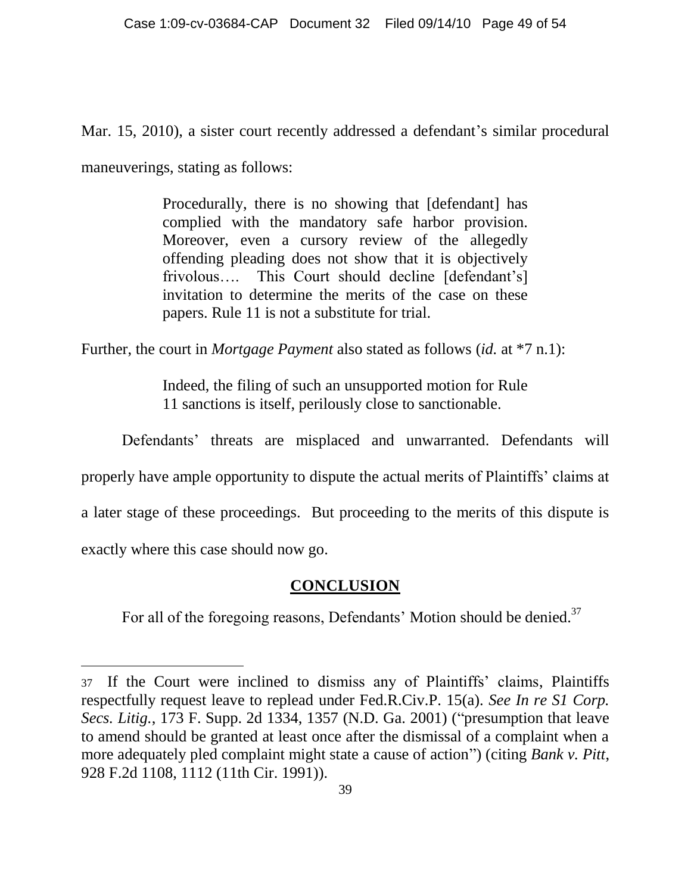Mar. 15, 2010), a sister court recently addressed a defendant's similar procedural maneuverings, stating as follows:

> Procedurally, there is no showing that [defendant] has complied with the mandatory safe harbor provision. Moreover, even a cursory review of the allegedly offending pleading does not show that it is objectively frivolous.... This Court should decline [defendant's] invitation to determine the merits of the case on these papers. Rule 11 is not a substitute for trial.

Further, the court in *Mortgage Payment* also stated as follows (*id.* at \*7 n.1):

Indeed, the filing of such an unsupported motion for Rule 11 sanctions is itself, perilously close to sanctionable.

Defendants' threats are misplaced and unwarranted. Defendants will

properly have ample opportunity to dispute the actual merits of Plaintiffs" claims at

a later stage of these proceedings. But proceeding to the merits of this dispute is

<span id="page-48-0"></span>exactly where this case should now go.

 $\overline{a}$ 

### **CONCLUSION**

For all of the foregoing reasons, Defendants' Motion should be denied.<sup>37</sup>

<sup>37</sup> If the Court were inclined to dismiss any of Plaintiffs" claims, Plaintiffs respectfully request leave to replead under Fed.R.Civ.P. 15(a). *See In re S1 Corp. Secs. Litig.*, 173 F. Supp. 2d 1334, 1357 (N.D. Ga. 2001) ("presumption that leave to amend should be granted at least once after the dismissal of a complaint when a more adequately pled complaint might state a cause of action") (citing *Bank v. Pitt*, 928 F.2d 1108, 1112 (11th Cir. 1991)).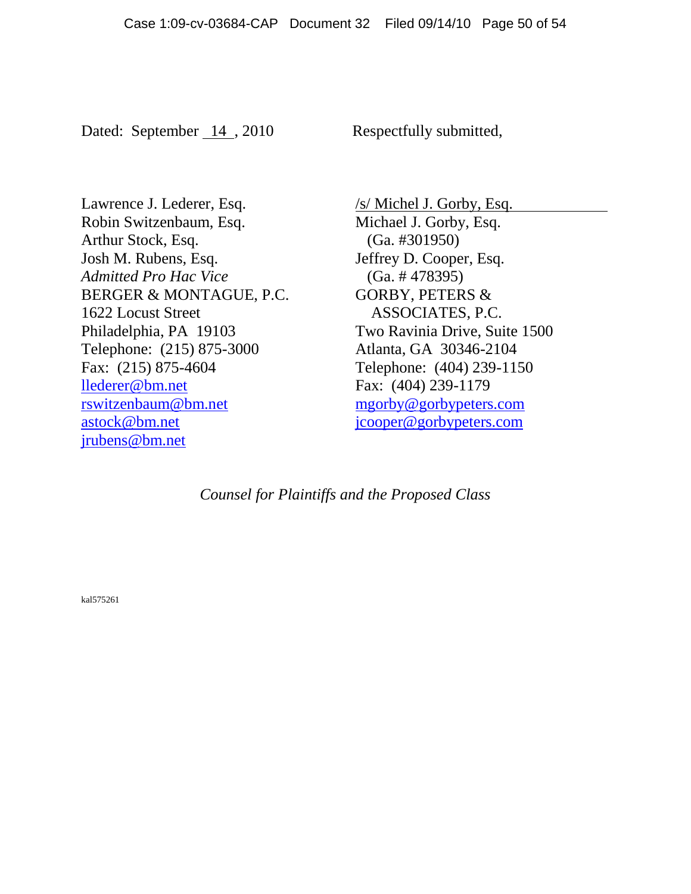Dated: September 14, 2010 Respectfully submitted,

Lawrence J. Lederer, Esq. Robin Switzenbaum, Esq. Arthur Stock, Esq. Josh M. Rubens, Esq. *Admitted Pro Hac Vice* BERGER & MONTAGUE, P.C. 1622 Locust Street Philadelphia, PA 19103 Telephone: (215) 875-3000 Fax: (215) 875-4604 llederer@bm.net rswitzenbaum@bm.net astock@bm.net jrubens@bm.net

/s/ Michel J. Gorby, Esq. Michael J. Gorby, Esq. (Ga. #301950) Jeffrey D. Cooper, Esq. (Ga. # 478395) GORBY, PETERS & ASSOCIATES, P.C. Two Ravinia Drive, Suite 1500 Atlanta, GA 30346-2104 Telephone: (404) 239-1150 Fax: (404) 239-1179 mgorby@gorbypeters.com [jcooper@gorbypeters.com](mailto:jcooper@gorbypeters.com)

*Counsel for Plaintiffs and the Proposed Class*

kal575261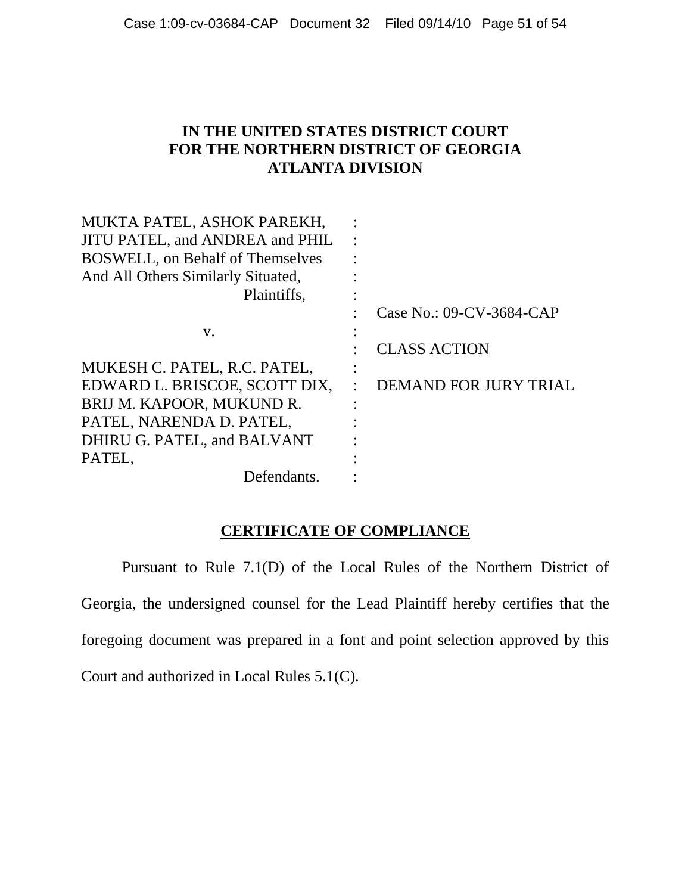#### **IN THE UNITED STATES DISTRICT COURT FOR THE NORTHERN DISTRICT OF GEORGIA ATLANTA DIVISION**

| MUKTA PATEL, ASHOK PAREKH,               |           |                          |
|------------------------------------------|-----------|--------------------------|
| JITU PATEL, and ANDREA and PHIL          |           |                          |
| <b>BOSWELL</b> , on Behalf of Themselves |           |                          |
| And All Others Similarly Situated,       |           |                          |
| Plaintiffs,                              |           |                          |
|                                          |           | Case No.: 09-CV-3684-CAP |
| V.                                       |           |                          |
|                                          |           | <b>CLASS ACTION</b>      |
| MUKESH C. PATEL, R.C. PATEL,             | $\bullet$ |                          |
| EDWARD L. BRISCOE, SCOTT DIX,            |           | DEMAND FOR JURY TRIAL    |
| BRIJ M. KAPOOR, MUKUND R.                |           |                          |
| PATEL, NARENDA D. PATEL,                 |           |                          |
| DHIRU G. PATEL, and BALVANT              |           |                          |
| PATEL,                                   |           |                          |
| Defendants.                              |           |                          |
|                                          |           |                          |

#### **CERTIFICATE OF COMPLIANCE**

Pursuant to Rule 7.1(D) of the Local Rules of the Northern District of Georgia, the undersigned counsel for the Lead Plaintiff hereby certifies that the foregoing document was prepared in a font and point selection approved by this Court and authorized in Local Rules 5.1(C).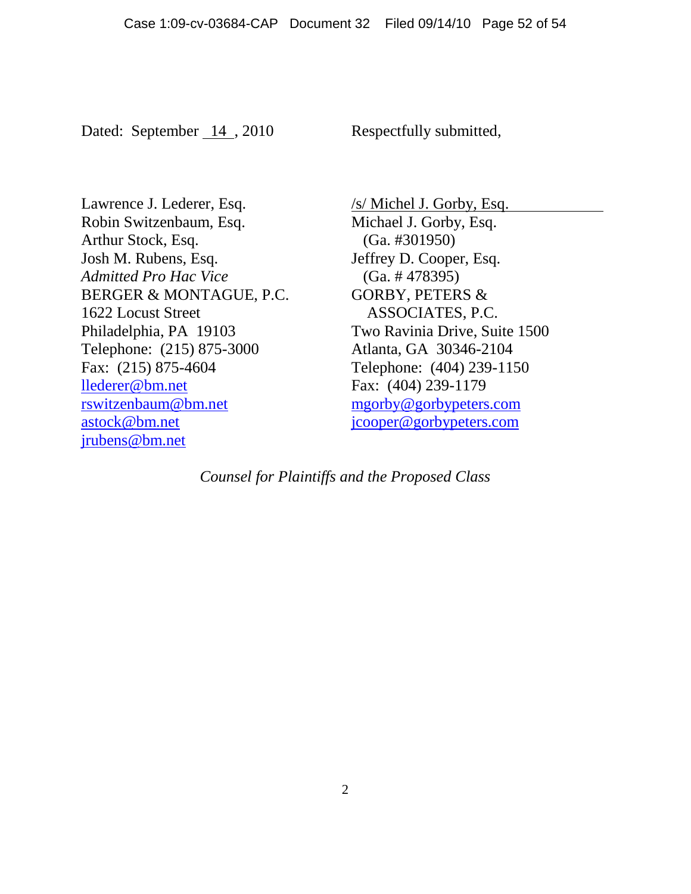Dated: September 14, 2010

Respectfully submitted,

Lawrence J. Lederer, Esq. Robin Switzenbaum, Esq. Arthur Stock, Esq. Josh M. Rubens, Esq. *Admitted Pro Hac Vice* BERGER & MONTAGUE, P.C. 1622 Locust Street Philadelphia, PA 19103 Telephone: (215) 875-3000 Fax: (215) 875-4604 llederer@bm.net rswitzenbaum@bm.net astock@bm.net jrubens@bm.net

Michael J. Gorby, Esq. (Ga. #301950) Jeffrey D. Cooper, Esq. (Ga. # 478395) GORBY, PETERS & ASSOCIATES, P.C. Two Ravinia Drive, Suite 1500

/s/ Michel J. Gorby, Esq.

Atlanta, GA 30346-2104 Telephone: (404) 239-1150 Fax: (404) 239-1179 mgorby@gorbypeters.com [jcooper@gorbypeters.com](mailto:jcooper@gorbypeters.com)

*Counsel for Plaintiffs and the Proposed Class*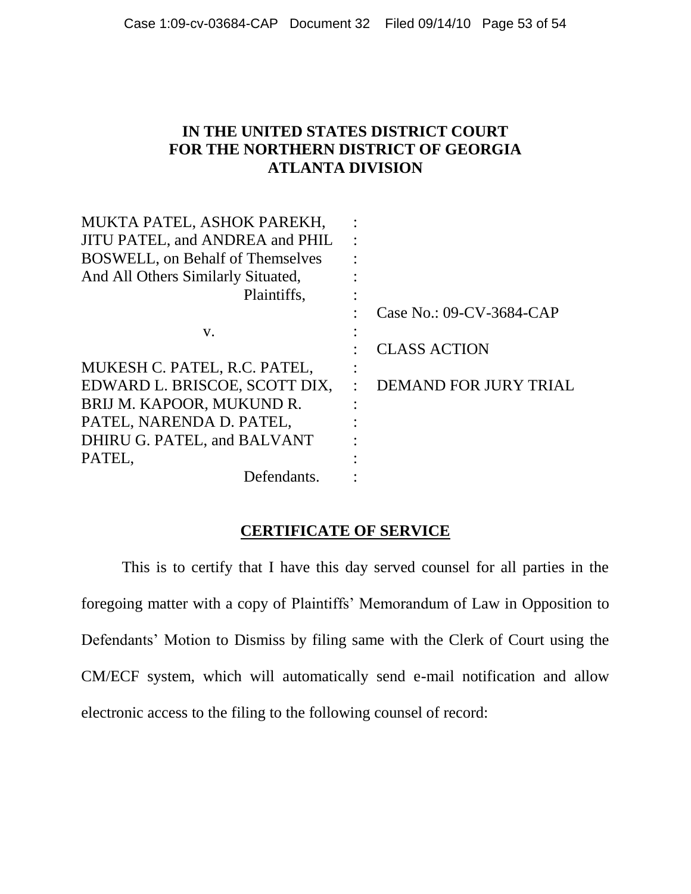#### **IN THE UNITED STATES DISTRICT COURT FOR THE NORTHERN DISTRICT OF GEORGIA ATLANTA DIVISION**

| MUKTA PATEL, ASHOK PAREKH,               |                          |
|------------------------------------------|--------------------------|
| JITU PATEL, and ANDREA and PHIL          |                          |
| <b>BOSWELL</b> , on Behalf of Themselves |                          |
| And All Others Similarly Situated,       |                          |
| Plaintiffs.                              |                          |
|                                          | Case No.: 09-CV-3684-CAP |
| V.                                       |                          |
|                                          | <b>CLASS ACTION</b>      |
| MUKESH C. PATEL, R.C. PATEL,             |                          |
| EDWARD L. BRISCOE, SCOTT DIX,            | DEMAND FOR JURY TRIAL    |
| BRIJ M. KAPOOR, MUKUND R.                |                          |
| PATEL, NARENDA D. PATEL,                 |                          |
| DHIRU G. PATEL, and BALVANT              |                          |
| PATEL,                                   |                          |
| Defendants.                              |                          |
|                                          |                          |

#### **CERTIFICATE OF SERVICE**

This is to certify that I have this day served counsel for all parties in the foregoing matter with a copy of Plaintiffs" Memorandum of Law in Opposition to Defendants' Motion to Dismiss by filing same with the Clerk of Court using the CM/ECF system, which will automatically send e-mail notification and allow electronic access to the filing to the following counsel of record: